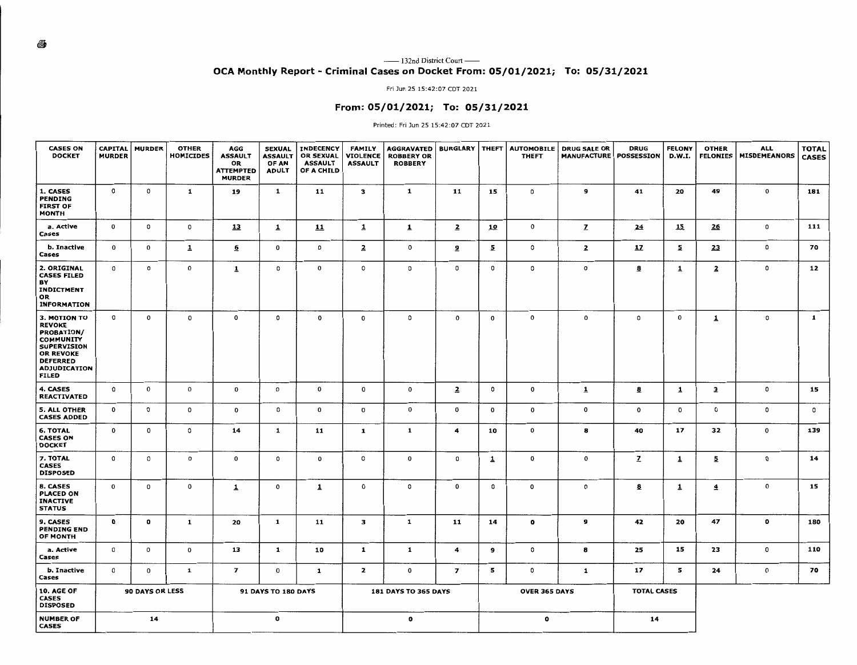#### - 132nd District Court-OCA Monthly Report - Criminal Cases on Docket From: 05/01/2021; To: 05/31/2021

#### Fri Jun 25 15:42:07 CDT 2021

### From: **05/01/2021;** To: **05/31/2021**

#### Printed: Fri Jun 25 15:42:07 CDT 2021

| <b>CASES ON</b><br><b>DOCKET</b>                                                                                                                                                  | <b>CAPITAL</b><br><b>MURDER</b> | <b>MURDER</b>   | <b>OTHER</b><br><b>HOMICIDES</b> | AGG<br><b>ASSAULT</b><br>OR<br><b>ATTEMPTED</b><br><b>MURDER</b> | <b>SEXUAL</b><br><b>ASSAULT</b><br>OF AN<br><b>ADULT</b> | <b>INDECENCY</b><br><b>OR SEXUAL</b><br><b>ASSAULT</b><br>OF A CHILD | <b>FAMILY</b><br><b>VIOLENCE</b><br><b>ASSAULT</b> | <b>AGGRAVATED</b><br><b>ROBBERY OR</b><br><b>ROBBERY</b> | <b>BURGLARY   THEFT</b> |                         | <b>AUTOMOBILE</b><br><b>THEFT</b> | <b>DRUG SALE OR</b><br><b>MANUFACTURE</b> | <b>DRUG</b><br><b>POSSESSION</b> | <b>FELONY</b><br><b>D.W.I.</b> | <b>OTHER</b>            | <b>ALL</b><br><b>FELONIES   MISDEMEANORS</b> | <b>TOTAL</b><br><b>CASES</b> |
|-----------------------------------------------------------------------------------------------------------------------------------------------------------------------------------|---------------------------------|-----------------|----------------------------------|------------------------------------------------------------------|----------------------------------------------------------|----------------------------------------------------------------------|----------------------------------------------------|----------------------------------------------------------|-------------------------|-------------------------|-----------------------------------|-------------------------------------------|----------------------------------|--------------------------------|-------------------------|----------------------------------------------|------------------------------|
| 1. CASES<br><b>PENDING</b><br><b>FIRST OF</b><br><b>MONTH</b>                                                                                                                     | $\circ$                         | 0               | $\mathbf 1$                      | 19                                                               | 1                                                        | 11                                                                   | 3                                                  | 1                                                        | 11                      | 15                      | 0                                 | 9                                         | 41                               | 20                             | 49                      | 0                                            | 181                          |
| a. Active<br>Cases                                                                                                                                                                | $\mathbf 0$                     | 0               | $\circ$                          | 13                                                               | 1                                                        | 11                                                                   | $\overline{1}$                                     | $\overline{1}$                                           | $\overline{2}$          | 10                      | $\mathbf 0$                       | $\mathbf{z}$                              | 24                               | 15                             | 26                      | $\mathsf{o}\,$                               | 111                          |
| b. Inactive<br>Cases                                                                                                                                                              | 0                               | 0               | $\overline{1}$                   | $\underline{6}$                                                  | 0                                                        | 0                                                                    | $\overline{a}$                                     | 0                                                        | 으                       | 5                       | 0                                 | $\overline{2}$                            | 17                               | Ξ                              | 23                      | 0                                            | 70                           |
| 2. ORIGINAL<br><b>CASES FILED</b><br>BY<br>INDICTMENT<br>OR<br><b>INFORMATION</b>                                                                                                 | $\mathbf 0$                     | 0               | $\mathbf{o}$                     | $\overline{1}$                                                   | 0                                                        | $\mathbf{o}$                                                         | $\circ$                                            | 0                                                        | 0                       | 0                       | 0                                 | $\mathbf 0$                               | 8                                | $\overline{1}$                 | $\overline{2}$          | 0                                            | 12                           |
| <b>3. MOTION TO</b><br><b>REVOKE</b><br><b>PROBATION/</b><br><b>COMMUNITY</b><br><b>SUPERVISION</b><br><b>OR REVOKE</b><br><b>DEFERRED</b><br><b>ADJUDICATION</b><br><b>FILED</b> | $\circ$                         | 0               | $\mathbf 0$                      | 0                                                                | 0                                                        | $\mathbf 0$                                                          | $\mathbf 0$                                        | 0                                                        | 0                       | $\mathbf 0$             | 0                                 | 0                                         | 0                                | 0                              | $\overline{1}$          | 0                                            | 1                            |
| 4. CASES<br><b>REACTIVATED</b>                                                                                                                                                    | $\circ$                         | 0               | $\mathbf{o}$                     | 0                                                                | 0                                                        | $\mathbf{o}$                                                         | $\mathbf{o}$                                       | $\mathbf{o}$                                             | $\overline{2}$          | 0                       | 0                                 | $\mathbf{1}$                              | 8                                | $\overline{1}$                 | $\overline{\mathbf{3}}$ | 0                                            | 15                           |
| <b>5. ALL OTHER</b><br><b>CASES ADDED</b>                                                                                                                                         | $\mathbf 0$                     | 0               | 0                                | $\mathbf 0$                                                      | 0                                                        | 0                                                                    | $\mathbf 0$                                        | $\mathbf{o}$                                             | $\mathbf 0$             | 0                       | $\mathbf{o}$                      | $\mathbf 0$                               | 0                                | 0                              | $\circ$                 | 0                                            | $\circ$                      |
| <b>6. TOTAL</b><br><b>CASES ON</b><br><b>DOCKET</b>                                                                                                                               | $\mathbf 0$                     | 0               | 0                                | 14                                                               | 1                                                        | 11                                                                   | 1                                                  | 1                                                        | 4                       | 10                      | 0                                 | 8                                         | 40                               | 17                             | 32                      | 0                                            | 139                          |
| 7. TOTAL<br><b>CASES</b><br><b>DISPOSED</b>                                                                                                                                       | $\circ$                         | 0               | 0                                | $\mathbf 0$                                                      | 0                                                        | $\mathbf{o}$                                                         | $\circ$                                            | $\mathbf 0$                                              | $\mathbf 0$             | $\overline{\mathbf{1}}$ | $\mathbf 0$                       | 0                                         | $\mathbf{z}$                     | $\overline{1}$                 | $\overline{2}$          | 0                                            | 14                           |
| 8. CASES<br><b>PLACED ON</b><br><b>INACTIVE</b><br><b>STATUS</b>                                                                                                                  | $\mathbf 0$                     | 0               | $\mathbf 0$                      | $\overline{1}$                                                   | $\mathbf{o}$                                             | $\overline{1}$                                                       | $\mathbf{0}$                                       | 0                                                        | 0                       | $\mathsf{o}$            | $\Omega$                          | $\mathbf 0$                               | 8                                | $\overline{1}$                 | $\overline{4}$          | $\mathbf 0$                                  | 15                           |
| 9. CASES<br><b>PENDING END</b><br><b>OF MONTH</b>                                                                                                                                 | $\mathbf{o}$                    | o               | 1                                | 20                                                               | 1                                                        | 11                                                                   | 3                                                  | 1                                                        | 11                      | 14                      | $\mathbf{o}$                      | 9                                         | 42                               | 20                             | 47                      | 0                                            | 180                          |
| a. Active<br>Cases                                                                                                                                                                | $\circ$                         | $\mathbf 0$     | 0                                | 13                                                               | $\mathbf{1}$                                             | 10                                                                   | $\mathbf{1}$                                       | 1                                                        | 4                       | 9                       | 0                                 | 8                                         | 25                               | 15                             | 23                      | 0                                            | 110                          |
| b. Inactive<br>Cases                                                                                                                                                              | $^{\circ}$                      | 0               | 1                                | 7                                                                | 0                                                        | 1                                                                    | $\overline{2}$                                     | 0                                                        | $\overline{\mathbf{z}}$ | 5                       | 0                                 | $\mathbf{1}$                              | 17                               | 5                              | 24                      | 0                                            | 70                           |
| 10. AGE OF<br><b>CASES</b><br><b>DISPOSED</b>                                                                                                                                     |                                 | 90 DAYS OR LESS |                                  |                                                                  | <b>91 DAYS TO 180 DAYS</b>                               |                                                                      |                                                    | <b>181 DAYS TO 365 DAYS</b>                              |                         |                         | <b>OVER 365 DAYS</b>              |                                           | <b>TOTAL CASES</b>               |                                |                         |                                              |                              |
| <b>NUMBER OF</b><br><b>CASES</b>                                                                                                                                                  |                                 | 14              |                                  |                                                                  | $\mathbf{o}$                                             |                                                                      |                                                    | $\mathbf{o}$                                             |                         |                         | $\bullet$                         |                                           | 14                               |                                |                         |                                              |                              |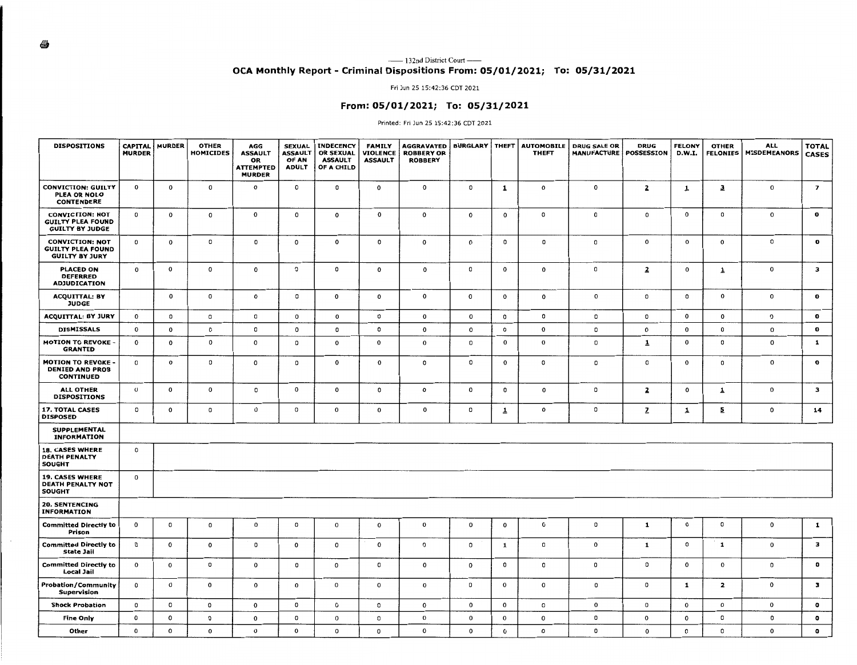### - 132nd District Court - **OCA Monthly Report - Criminal Dispositions From: 05/01/2021; To: 05/31/2021**

## Fri Jun 25 15:42:36 CDT 2021

### **From: 05/01/2021; To: 05/31/2021**

#### Printed: Fri Jun 25 15:42:36 CDT 2021

| <b>DISPOSITIONS</b>                                                          | <b>CAPITAL</b><br><b>MURDER</b> | <b>MURDER</b> | <b>OTHER</b><br><b>HOMICIDES</b> | AGG<br><b>ASSAULT</b><br><b>OR</b><br><b>ATTEMPTED</b><br><b>MURDER</b> | <b>SEXUAL</b><br><b>ASSAULT</b><br>OF AN<br><b>ADULT</b> | <b>INDECENCY</b><br><b>OR SEXUAL</b><br><b>ASSAULT</b><br>OF A CHILD | <b>FAMILY</b><br><b>VIOLENCE</b><br><b>ASSAULT</b> | <b>AGGRAVATED</b><br><b>ROBBERY OR</b><br><b>ROBBERY</b> | <b>BURGLARY THEFT</b> |                         | <b>AUTOMOBILE</b><br><b>THEFT</b> | <b>DRUG SALE OR</b><br><b>MANUFACTURE</b> | <b>DRUG</b><br>POSSESSION | <b>FELONY</b><br><b>D.W.I.</b> | <b>OTHER</b><br><b>FELONIES</b> | <b>ALL</b><br><b>MISDEMEANORS</b> | <b>TOTAL</b><br><b>CASES</b> |
|------------------------------------------------------------------------------|---------------------------------|---------------|----------------------------------|-------------------------------------------------------------------------|----------------------------------------------------------|----------------------------------------------------------------------|----------------------------------------------------|----------------------------------------------------------|-----------------------|-------------------------|-----------------------------------|-------------------------------------------|---------------------------|--------------------------------|---------------------------------|-----------------------------------|------------------------------|
| <b>CONVICTION: GUILTY</b><br>PLEA OR NOLO<br><b>CONTENDERE</b>               | $\mathbf 0$                     | $\mathbf 0$   | $\mathbf 0$                      | $\pmb{0}$                                                               | $\mathbf 0$                                              | $\mathsf{o}$                                                         | $\pmb{0}$                                          | $\pmb{0}$                                                | $\mathbf 0$           | $\overline{\mathbf{1}}$ | $\mathbf 0$                       | 0                                         | $\overline{2}$            | $\overline{1}$                 | $\overline{\mathbf{3}}$         | $\mathbf 0$                       | $\overline{\mathbf{z}}$      |
| <b>CONVICTION: NOT</b><br><b>GUILTY PLEA FOUND</b><br><b>GUILTY BY JUDGE</b> | $\circ$                         | $\mathbf 0$   | $\mathbf 0$                      | $\mathbf 0$                                                             | 0                                                        | 0                                                                    | $\mathbf 0$                                        | $\mathbf{o}$                                             | $\mathbf 0$           | $\mathbf 0$             | 0                                 | 0                                         | $\mathsf{o}$              | $^{\circ}$                     | 0                               | $\pmb{0}$                         | $\mathbf{o}$                 |
| <b>CONVICTION: NOT</b><br><b>GUILTY PLEA FOUND</b><br><b>GUILTY BY JURY</b>  | $^{\circ}$                      | $\mathbf 0$   | $\mathsf{o}$                     | $\mathsf{o}$                                                            | 0                                                        | 0                                                                    | 0                                                  | $\mathbf 0$                                              | $\mathbf 0$           | $\circ$                 | 0                                 | 0                                         | $\mathbf 0$               | $\mathbf 0$                    | 0                               | $\circ$                           | $\mathbf{o}$                 |
| <b>PLACED ON</b><br><b>DEFERRED</b><br><b>ADJUDICATION</b>                   | $\mathbf 0$                     | $\pmb{0}$     | $\mathbf 0$                      | $\pmb{0}$                                                               | 0                                                        | $\mathbf{o}$                                                         | $\mathbf 0$                                        | $\pmb{0}$                                                | 0                     | $\mathbf 0$             | 0                                 | 0                                         | $\overline{2}$            | $\mathbf 0$                    | $\mathbf{1}$                    | $\pmb{0}$                         | 3                            |
| <b>ACQUITTAL: BY</b><br><b>JUDGE</b>                                         |                                 | $\mathbf 0$   | 0                                | $\mathbf 0$                                                             | o                                                        | $\mathbf 0$                                                          | $\mathbf 0$                                        | 0                                                        | $\mathbf{o}$          | $\mathbf{o}$            | 0                                 | 0                                         | o                         | $^{\circ}$                     | $\mathbf{o}$                    | $\mathbf 0$                       | $\mathbf{o}$                 |
| <b>ACQUITTAL: BY JURY</b>                                                    | $\mathbf 0$                     | 0             | $\mathsf{o}$                     | 0                                                                       | 0                                                        | $\mathbf 0$                                                          | $\mathbf 0$                                        | $\mathbf 0$                                              | 0                     | $\mathbf 0$             | 0                                 | 0                                         | $\circ$                   | 0                              | $\mathbf 0$                     | $\mathbf 0$                       | $\mathbf{o}$                 |
| <b>DISMISSALS</b>                                                            | $\mathbf 0$                     | 0             | $\mathbf 0$                      | $\circ$                                                                 | 0                                                        | $\mathsf{o}$                                                         | 0                                                  | $\mathbf{o}$                                             | 0                     | 0                       | $\mathbf 0$                       | 0                                         | $\mathbf 0$               | $\mathbf 0$                    | $\mathbf 0$                     | $\mathbf 0$                       | $\mathbf{o}$                 |
| <b>MOTION TO REVOKE</b><br><b>GRANTED</b>                                    | $\mathbf 0$                     | $\mathbf 0$   | $\mathbf 0$                      | $\mathbf 0$                                                             | 0                                                        | $\mathbf 0$                                                          | $\mathbf 0$                                        | $\mathbf{o}$                                             | 0                     | $\mathbf{o}$            | $\mathbf 0$                       | 0                                         | $\overline{1}$            | $\mathbf 0$                    | $\circ$                         | $\mathbf 0$                       | $\mathbf{1}$                 |
| <b>MOTION TO REVOKE</b><br><b>DENIED AND PROB</b><br><b>CONTINUED</b>        | $\mathsf{o}$                    | $\pmb{0}$     | o                                | $\mathbf 0$                                                             | 0                                                        | $\mathbf 0$                                                          | $\mathbf 0$                                        | $\mathsf{o}$                                             | $\mathsf{o}\,$        | $\mathbf 0$             | 0                                 | 0                                         | $\circ$                   | $\mathbf 0$                    | 0                               | 0                                 | $\mathbf{o}$                 |
| <b>ALL OTHER</b><br>DISPOSITIONS                                             | $\mathbf{o}$                    | $\mathbf 0$   | $\mathbf 0$                      | o                                                                       | 0                                                        | $\mathbf 0$                                                          | $\mathbf 0$                                        | $\mathbf 0$                                              | $\mathbf{o}$          | $\circ$                 | $\mathbf 0$                       | 0                                         | $\overline{2}$            | $\mathbf 0$                    | $\blacktriangle$                | $\mathbf{o}$                      | $\mathbf{3}$                 |
| <b>17. TOTAL CASES</b><br><b>DISPOSED</b>                                    | $\circ$                         | $\pmb{0}$     | o                                | $\mathbf 0$                                                             | 0                                                        | 0                                                                    | $\pmb{0}$                                          | $\pmb{0}$                                                | 0                     | $\overline{1}$          | 0                                 | 0                                         | $\mathbf{z}$              | $\mathbf{1}$                   | $\overline{2}$                  | $\pmb{0}$                         | 14                           |
| <b>SUPPLEMENTAL</b><br><b>INFORMATION</b>                                    |                                 |               |                                  |                                                                         |                                                          |                                                                      |                                                    |                                                          |                       |                         |                                   |                                           |                           |                                |                                 |                                   |                              |
| <b>18. CASES WHERE</b><br><b>DEATH PENALTY</b><br><b>SOUGHT</b>              | $\mathbf 0$                     |               |                                  |                                                                         |                                                          |                                                                      |                                                    |                                                          |                       |                         |                                   |                                           |                           |                                |                                 |                                   |                              |
| <b>19. CASES WHERE</b><br><b>DEATH PENALTY NOT</b><br><b>SOUGHT</b>          | $\mathbf 0$                     |               |                                  |                                                                         |                                                          |                                                                      |                                                    |                                                          |                       |                         |                                   |                                           |                           |                                |                                 |                                   |                              |
| <b>20. SENTENCING</b><br><b>INFORMATION</b>                                  |                                 |               |                                  |                                                                         |                                                          |                                                                      |                                                    |                                                          |                       |                         |                                   |                                           |                           |                                |                                 |                                   |                              |
| <b>Committed Directly to</b><br>Prison                                       | $\mathbf{o}$                    | $^{\circ}$    | O                                | $\mathbf{o}$                                                            | 0                                                        | 0                                                                    | $\pmb{0}$                                          | $\mathbf 0$                                              | $\mathbf 0$           | $\pmb{0}$               | $\pmb{0}$                         | 0                                         | 1                         | 0                              | 0                               | 0                                 | 1                            |
| <b>Committed Directly to</b><br>State Jail                                   | $\circ$                         | $\mathbf 0$   | $\mathbf 0$                      | $\circ$                                                                 | 0                                                        | 0                                                                    | $\pmb{0}$                                          | $\circ$                                                  | $\circ$               | 1                       | $\mathsf{o}$                      | 0                                         | 1                         | $\circ$                        | $\mathbf{1}$                    | $\mathbf 0$                       | 3                            |
| <b>Committed Directly to</b><br>Local Jail                                   | $\mathbf{o}$                    | $\mathbf 0$   | $\circ$                          | $\mathbf 0$                                                             | 0                                                        | 0                                                                    | 0                                                  | $\mathbf 0$                                              | $\mathbf 0$           | $\circ$                 | 0                                 | 0                                         | $\circ$                   | $\mathbf 0$                    | $\mathbf{O}$                    | $\mathbf 0$                       | $\mathbf{o}$                 |
| <b>Probation/Community</b><br>Supervision                                    | $\circ$                         | $\mathbf{0}$  | $\mathbf{o}$                     | $\mathbf 0$                                                             | 0                                                        | $\mathbf 0$                                                          | $\mathbf 0$                                        | $\mathbf{o}$                                             | $\circ$               | $\mathbf{o}$            | 0                                 | 0                                         | $\circ$                   | $\mathbf{1}$                   | $\overline{\mathbf{z}}$         | $\mathbf 0$                       | $\overline{\mathbf{3}}$      |
| <b>Shock Probation</b>                                                       | o                               | 0             | o                                | $\mathbf 0$                                                             | o                                                        | $\mathbf 0$                                                          | 0                                                  | 0                                                        | $\mathbf 0$           | $\mathbf 0$             | o                                 | 0                                         | 0                         | $\pmb{0}$                      | $\mathbf{o}$                    | $\mathbf 0$                       | o                            |
| <b>Fine Only</b>                                                             | $\mathbf 0$                     | $\mathbf 0$   | 0                                | 0                                                                       | 0                                                        | 0                                                                    | 0                                                  | $\mathbf 0$                                              | 0                     | $\mathbf{o}$            | 0                                 | 0                                         | $\mathbf{o}$              | $\pmb{0}$                      | 0                               | $\mathsf{o}\,$                    | $\bullet$                    |
| Other                                                                        | $\mathbf 0$                     | $\mathbf 0$   | $\mathbf 0$                      | 0                                                                       | 0                                                        | $\mathbf 0$                                                          | 0                                                  | 0                                                        | $\Omega$              | $\mathbf 0$             | $\mathbf{o}$                      | 0                                         | $\Omega$                  | $\circ$                        | 0                               | $\mathbf 0$                       | o                            |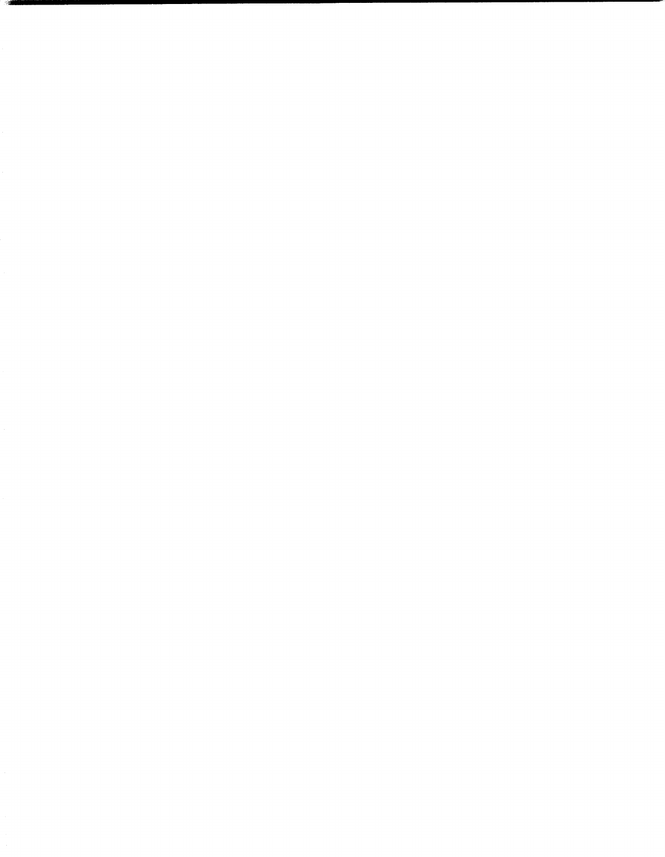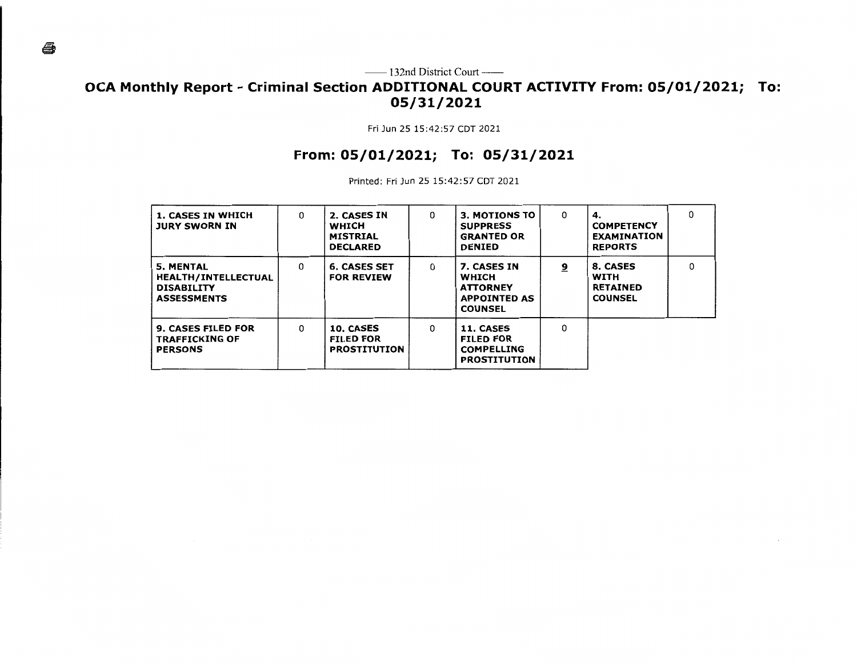- 132nd District Court -

# **OCA Monthly Report - Criminal Section ADDITIONAL COURT ACTIVITY From: 05/01/2021; To: 05/31/2021**

Fri Jun 25 15:42:57 CDT 2021

# **From: 05/01/2021; To: 05/31/2021**

Printed: Fri Jun 25 15:42:57 CDT 2021

| <b>1. CASES IN WHICH</b><br><b>JURY SWORN IN</b>                                          | 0 | 2. CASES IN<br><b>WHICH</b><br><b>MISTRIAL</b><br><b>DECLARED</b> | 0            | <b>3. MOTIONS TO</b><br><b>SUPPRESS</b><br><b>GRANTED OR</b><br><b>DENIED</b>           | 0        | 4.<br><b>COMPETENCY</b><br><b>EXAMINATION</b><br><b>REPORTS</b> |    |
|-------------------------------------------------------------------------------------------|---|-------------------------------------------------------------------|--------------|-----------------------------------------------------------------------------------------|----------|-----------------------------------------------------------------|----|
| <b>5. MENTAL</b><br><b>HEALTH/INTELLECTUAL</b><br><b>DISABILITY</b><br><b>ASSESSMENTS</b> | 0 | <b>6. CASES SET</b><br><b>FOR REVIEW</b>                          | 0            | 7. CASES IN<br><b>WHICH</b><br><b>ATTORNEY</b><br><b>APPOINTED AS</b><br><b>COUNSEL</b> | 9        | 8. CASES<br><b>WITH</b><br><b>RETAINED</b><br><b>COUNSEL</b>    | O. |
| <b>9. CASES FILED FOR</b><br><b>TRAFFICKING OF</b><br><b>PERSONS</b>                      | 0 | 10. CASES<br><b>FILED FOR</b><br><b>PROSTITUTION</b>              | <sup>0</sup> | 11. CASES<br><b>FILED FOR</b><br><b>COMPELLING</b><br><b>PROSTITUTION</b>               | $\Omega$ |                                                                 |    |

6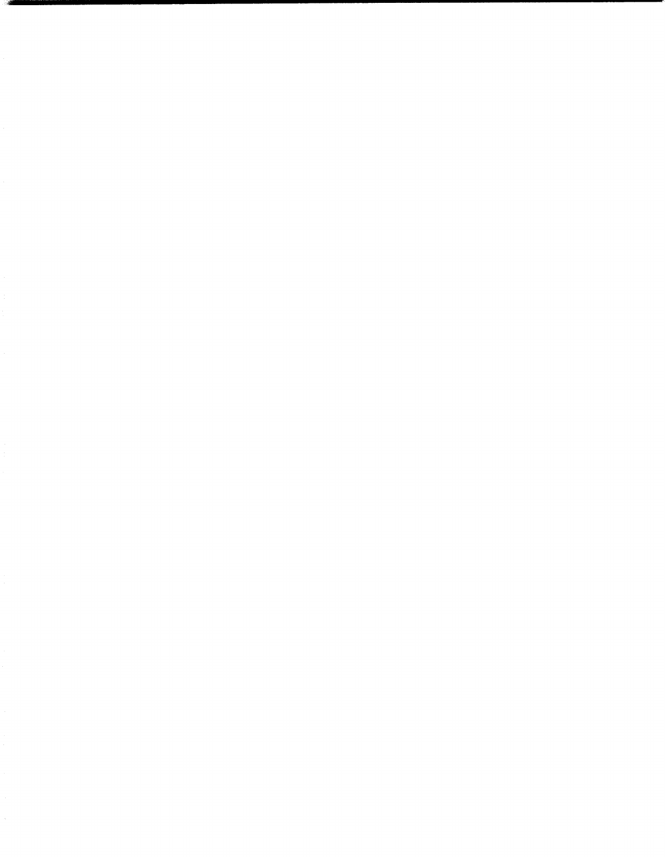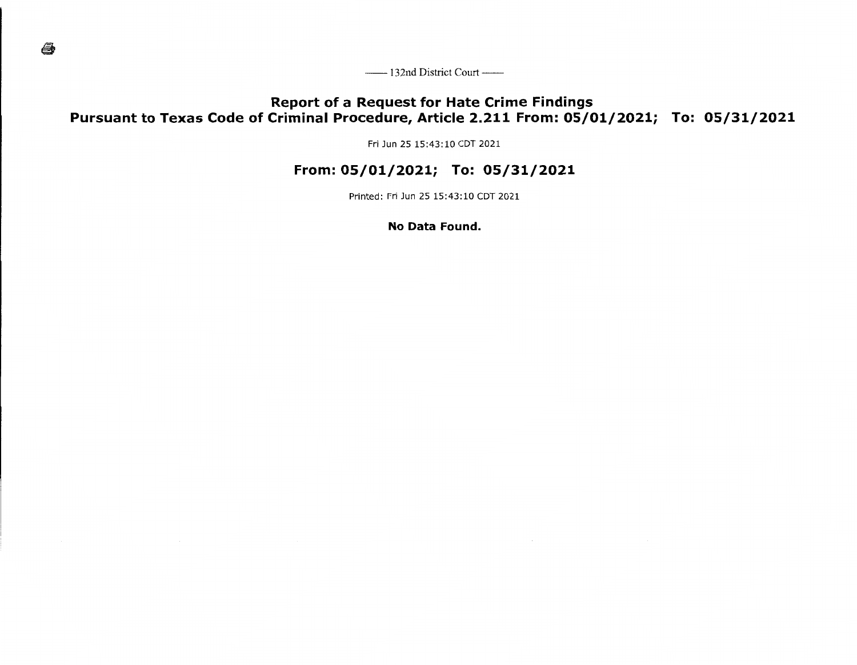ê

-- 132nd District Court--

# **Report of a Request for Hate Crime Findings Pursuant to Texas Code of Criminal Procedure, Article 2.211 From: 05/01/2021; To: 05/31/2021**

Fri Jun 25 15:43:10 CDT 2021

# **From: 05/01/2021; To: 05/31/2021**

Printed: Fri Jun 25 15:43:10 CDT 2021

**No Data Found.**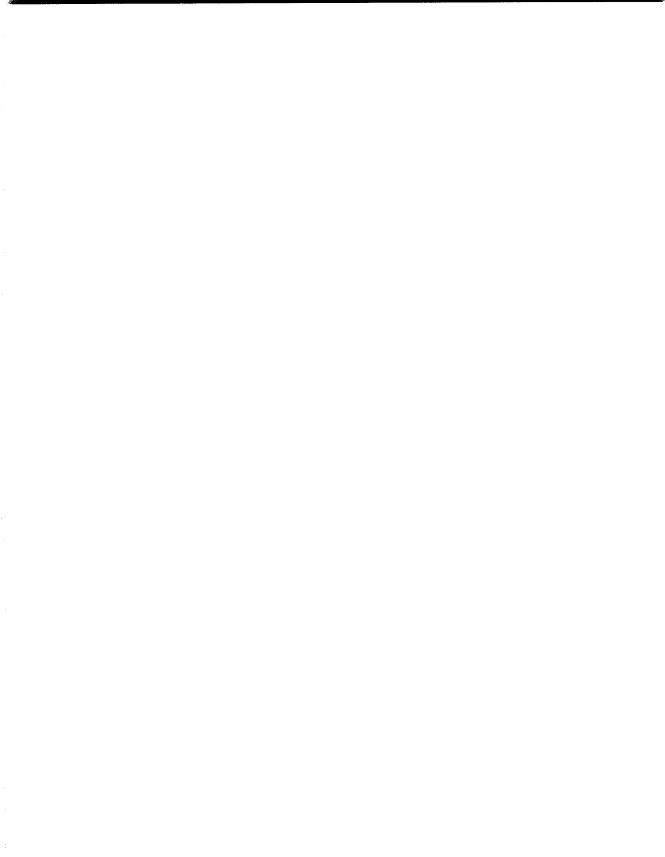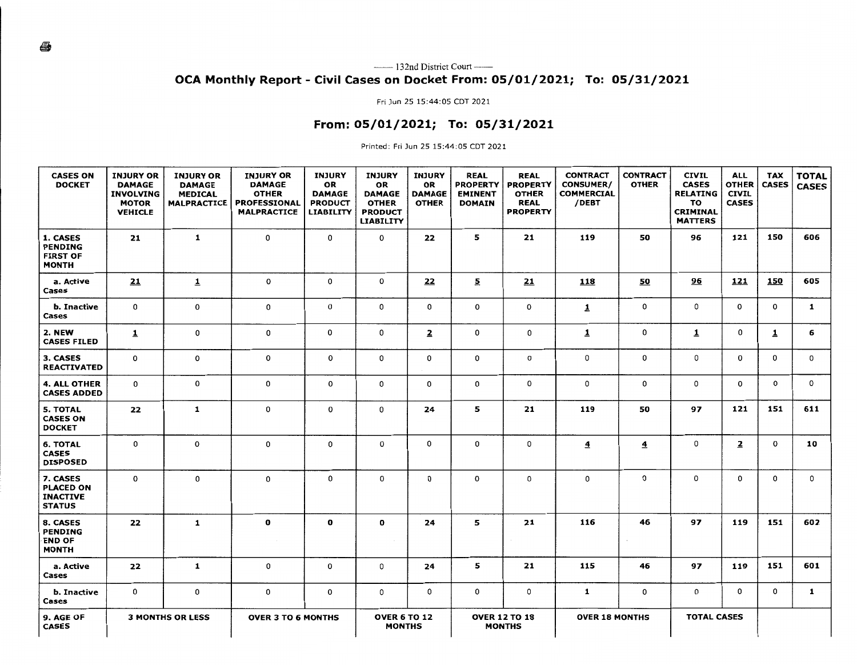#### - 132nd District Court -

# **OCA Monthly Report** - **Civil Cases on Docket From: 05/01/2021; To: 05/31/2021**

Fri Jun 25 15:44:05 CDT 2021

## **From: 05/01/2021; To: 05/31/2021**

Printed: Fri Jun 25 15:44:05 CDT 2021

| <b>CASES ON</b><br><b>DOCKET</b>                                 | <b>INJURY OR</b><br><b>DAMAGE</b><br><b>INVOLVING</b><br><b>MOTOR</b><br><b>VEHICLE</b> | <b>INJURY OR</b><br><b>DAMAGE</b><br>MEDICAL<br><b>MALPRACTICE</b> | <b>INJURY OR</b><br><b>DAMAGE</b><br><b>OTHER</b><br>PROFESSIONAL<br><b>MALPRACTICE</b> | <b>INJURY</b><br>OR<br><b>DAMAGE</b><br><b>PRODUCT</b><br>LIABILITY | INJURY<br>OR<br><b>DAMAGE</b><br><b>OTHER</b><br><b>PRODUCT</b><br><b>LIABILITY</b> | <b>INJURY</b><br>OR<br><b>DAMAGE</b><br><b>OTHER</b> | <b>REAL</b><br><b>PROPERTY</b><br><b>EMINENT</b><br><b>DOMAIN</b> | <b>REAL</b><br><b>PROPERTY</b><br><b>OTHER</b><br><b>REAL</b><br><b>PROPERTY</b> | <b>CONTRACT</b><br>CONSUMER/<br><b>COMMERCIAL</b><br>/DEBT | <b>CONTRACT</b><br><b>OTHER</b> | <b>CIVIL</b><br><b>CASES</b><br><b>RELATING</b><br>то<br>CRIMINAL<br><b>MATTERS</b> | <b>ALL</b><br><b>OTHER</b><br><b>CIVIL</b><br><b>CASES</b> | <b>TAX</b><br><b>CASES</b> | <b>TOTAL</b><br><b>CASES</b> |
|------------------------------------------------------------------|-----------------------------------------------------------------------------------------|--------------------------------------------------------------------|-----------------------------------------------------------------------------------------|---------------------------------------------------------------------|-------------------------------------------------------------------------------------|------------------------------------------------------|-------------------------------------------------------------------|----------------------------------------------------------------------------------|------------------------------------------------------------|---------------------------------|-------------------------------------------------------------------------------------|------------------------------------------------------------|----------------------------|------------------------------|
| 1. CASES<br>PENDING<br><b>FIRST OF</b><br><b>MONTH</b>           | 21                                                                                      | $\mathbf{1}$                                                       | $\mathbf 0$                                                                             | 0                                                                   | 0                                                                                   | 22                                                   | 5                                                                 | 21                                                                               | 119                                                        | 50                              | 96                                                                                  | 121                                                        | 150                        | 606                          |
| a. Active<br>Cases                                               | 21                                                                                      | $\overline{1}$                                                     | 0                                                                                       | 0                                                                   | 0                                                                                   | 22                                                   | $\overline{2}$                                                    | 21                                                                               | 118                                                        | 50                              | 96                                                                                  | 121                                                        | 150                        | 605                          |
| <b>b. Inactive</b><br>Cases                                      | 0                                                                                       | 0                                                                  | $\mathbf 0$                                                                             | 0                                                                   | 0                                                                                   | 0                                                    | 0                                                                 | 0                                                                                | 1                                                          | 0                               | 0                                                                                   | 0                                                          | 0                          | 1                            |
| 2. NEW<br><b>CASES FILED</b>                                     | $\mathbf{1}$                                                                            | 0                                                                  | $\mathbf 0$                                                                             | 0                                                                   | 0                                                                                   | $\overline{2}$                                       | 0                                                                 | 0                                                                                | $\overline{1}$                                             | 0                               | $\overline{1}$                                                                      | 0                                                          | $\mathbf{1}$               | 6                            |
| 3. CASES<br><b>REACTIVATED</b>                                   | 0                                                                                       | 0                                                                  | 0                                                                                       | 0                                                                   | 0                                                                                   | 0                                                    | 0                                                                 | 0                                                                                | 0                                                          | 0                               | 0                                                                                   | 0                                                          | 0                          | 0                            |
| <b>4. ALL OTHER</b><br><b>CASES ADDED</b>                        | $\mathbf 0$                                                                             | $\mathbf 0$                                                        | 0                                                                                       | 0                                                                   | 0                                                                                   | 0                                                    | $\mathbf 0$                                                       | 0                                                                                | 0                                                          | 0                               | 0                                                                                   | 0                                                          | 0                          | 0                            |
| <b>5. TOTAL</b><br><b>CASES ON</b><br><b>DOCKET</b>              | 22                                                                                      | $\mathbf{1}$                                                       | $\mathbf 0$                                                                             | 0                                                                   | $\mathbf 0$                                                                         | 24                                                   | 5                                                                 | 21                                                                               | 119                                                        | 50                              | 97                                                                                  | 121                                                        | 151                        | 611                          |
| <b>6. TOTAL</b><br><b>CASES</b><br><b>DISPOSED</b>               | 0                                                                                       | 0                                                                  | 0                                                                                       | 0                                                                   | $\mathbf 0$                                                                         | 0                                                    | 0                                                                 | 0                                                                                | $\overline{4}$                                             | $\overline{4}$                  | 0                                                                                   | $\overline{2}$                                             | 0                          | 10                           |
| 7. CASES<br><b>PLACED ON</b><br><b>INACTIVE</b><br><b>STATUS</b> | 0                                                                                       | 0                                                                  | $\mathbf 0$                                                                             | 0                                                                   | 0                                                                                   | 0                                                    | 0                                                                 | 0                                                                                | 0                                                          | 0                               | 0                                                                                   | 0                                                          | 0                          | 0                            |
| 8. CASES<br><b>PENDING</b><br><b>END OF</b><br><b>MONTH</b>      | 22                                                                                      | $\mathbf{1}$                                                       | $\mathbf{0}$                                                                            | $\mathbf{o}$                                                        | $\mathbf 0$                                                                         | 24                                                   | 5                                                                 | 21                                                                               | 116                                                        | 46                              | 97                                                                                  | 119                                                        | 151                        | 602                          |
| a. Active<br>Cases                                               | 22                                                                                      | 1                                                                  | 0                                                                                       | $\mathbf 0$                                                         | 0                                                                                   | 24                                                   | 5                                                                 | 21                                                                               | 115                                                        | 46                              | 97                                                                                  | 119                                                        | 151                        | 601                          |
| b. Inactive<br>Cases                                             | 0                                                                                       | 0                                                                  | 0                                                                                       | 0                                                                   | 0                                                                                   | 0                                                    | 0                                                                 | 0                                                                                | 1                                                          | 0                               | 0                                                                                   | 0                                                          | 0                          | 1                            |
| 9. AGE OF<br><b>CASES</b>                                        |                                                                                         | <b>3 MONTHS OR LESS</b>                                            | <b>OVER 3 TO 6 MONTHS</b>                                                               |                                                                     | <b>OVER 6 TO 12</b><br><b>MONTHS</b>                                                |                                                      |                                                                   | <b>OVER 12 TO 18</b><br><b>MONTHS</b>                                            | <b>OVER 18 MONTHS</b>                                      |                                 | <b>TOTAL CASES</b>                                                                  |                                                            |                            |                              |

4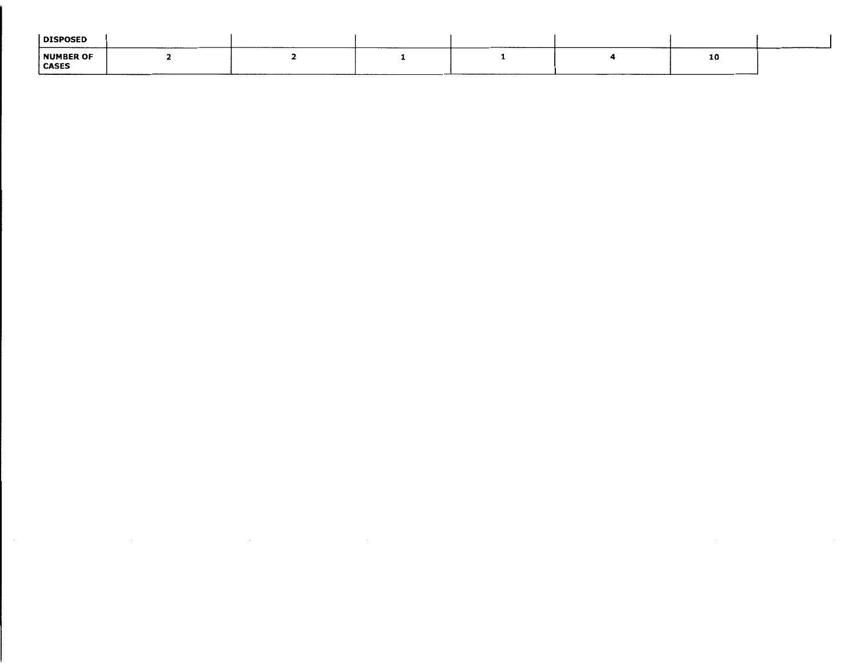| DISPOSED                                                                                                                                                                                 |                 | ___ | <b>The Company of the American Services</b> |                      |    |  |
|------------------------------------------------------------------------------------------------------------------------------------------------------------------------------------------|-----------------|-----|---------------------------------------------|----------------------|----|--|
| The contemporary and contemporary<br><b>NUMBER OF</b><br><b>CASES</b><br>the contract of the contract of the contract of the contract of the contract of the contract of the contract of | _______________ |     |                                             | ____________________ | 10 |  |

J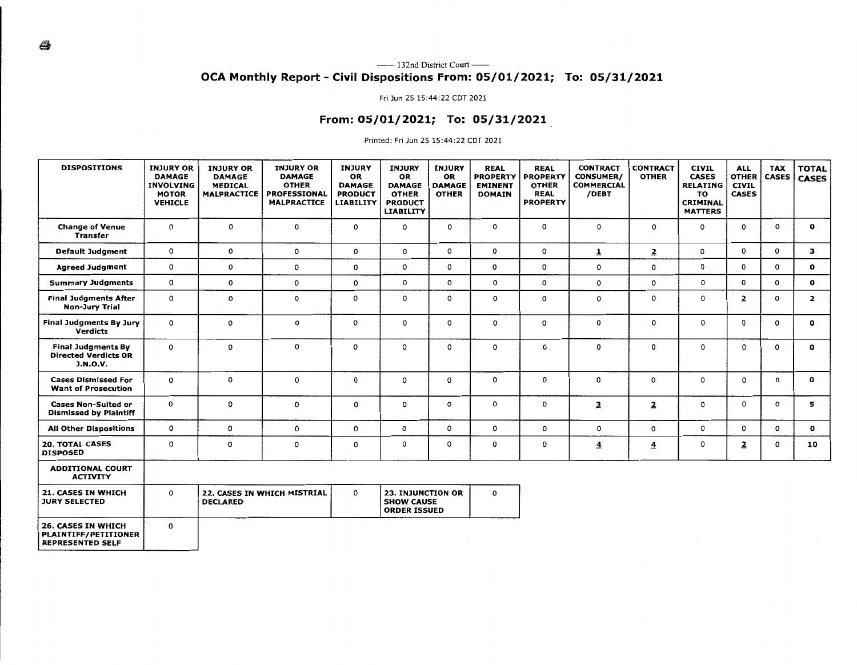#### --------- 132nd District Court -

## OCA Monthly Report - Civil Dispositions From: 05/01/2021; To: 05/31/2021

### Fri Jun 25 15:44:22 CDT 2021

## From: 05/01/2021; To: 05/31/2021

Printed: Fri Jun 25 15:44:22 CDT 2021

| <b>DISPOSITIONS</b>                                                          | <b>INJURY OR</b><br><b>DAMAGE</b><br><b>INVOLVING</b><br><b>MOTOR</b><br><b>VEHICLE</b> | <b>INJURY OR</b><br><b>DAMAGE</b><br><b>MEDICAL</b><br><b>MALPRACTICE</b> | <b>INJURY OR</b><br><b>DAMAGE</b><br><b>OTHER</b><br><b>PROFESSIONAL</b><br><b>MALPRACTICE</b> | <b>INJURY</b><br><b>OR</b><br><b>DAMAGE</b><br><b>PRODUCT</b><br>LIABILITY | INJURY<br>OR<br><b>DAMAGE</b><br><b>OTHER</b><br><b>PRODUCT</b><br><b>LIABILITY</b> | <b>INJURY</b><br><b>OR</b><br><b>DAMAGE</b><br><b>OTHER</b> | <b>REAL</b><br><b>PROPERTY</b><br><b>EMINENT</b><br><b>DOMAIN</b> | <b>REAL</b><br><b>PROPERTY</b><br><b>OTHER</b><br><b>REAL</b><br><b>PROPERTY</b> | <b>CONTRACT</b><br>CONSUMER/<br><b>COMMERCIAL</b><br>/DEBT | <b>CONTRACT</b><br><b>OTHER</b> | <b>CIVIL</b><br><b>CASES</b><br><b>RELATING</b><br>TO<br><b>CRIMINAL</b><br><b>MATTERS</b> | <b>ALL</b><br><b>OTHER</b><br><b>CIVIL</b><br><b>CASES</b> | <b>TAX</b><br><b>CASES</b> | <b>TOTAL</b><br><b>CASES</b> |
|------------------------------------------------------------------------------|-----------------------------------------------------------------------------------------|---------------------------------------------------------------------------|------------------------------------------------------------------------------------------------|----------------------------------------------------------------------------|-------------------------------------------------------------------------------------|-------------------------------------------------------------|-------------------------------------------------------------------|----------------------------------------------------------------------------------|------------------------------------------------------------|---------------------------------|--------------------------------------------------------------------------------------------|------------------------------------------------------------|----------------------------|------------------------------|
| <b>Change of Venue</b><br><b>Transfer</b>                                    | $\mathbf 0$                                                                             | 0                                                                         | 0                                                                                              | 0                                                                          | $\mathbf{o}$                                                                        | 0                                                           | 0                                                                 | 0                                                                                | 0                                                          | 0                               | 0                                                                                          | 0                                                          | 0                          | 0                            |
| <b>Default Judgment</b>                                                      | 0                                                                                       | 0                                                                         | 0                                                                                              | 0                                                                          | 0                                                                                   | 0                                                           | 0                                                                 | 0                                                                                | $\overline{1}$                                             | $\overline{2}$                  | 0                                                                                          | 0                                                          | 0                          | з                            |
| <b>Agreed Judgment</b>                                                       | 0                                                                                       | 0                                                                         | $\mathbf 0$                                                                                    | 0                                                                          | 0                                                                                   | 0                                                           | 0                                                                 | 0                                                                                | 0                                                          | 0                               | 0                                                                                          | 0                                                          | $\Omega$                   | 0                            |
| <b>Summary Judgments</b>                                                     | $\mathbf 0$                                                                             | 0                                                                         | 0                                                                                              | 0                                                                          | 0                                                                                   | 0                                                           | 0                                                                 | 0                                                                                | 0                                                          | 0                               | 0                                                                                          | 0                                                          | $\Omega$                   | 0                            |
| <b>Final Judgments After</b><br>Non-Jury Trial                               | $\mathbf 0$                                                                             | 0                                                                         | 0                                                                                              | 0                                                                          | 0                                                                                   | 0                                                           | $\mathbf 0$                                                       | 0                                                                                | 0                                                          | 0                               | 0                                                                                          | $\overline{2}$                                             | 0                          | $\mathbf{z}$                 |
| <b>Final Judgments By Jury</b><br><b>Verdicts</b>                            | $\mathbf 0$                                                                             | 0                                                                         | $\mathbf 0$                                                                                    | 0                                                                          | $\mathbf 0$                                                                         | 0                                                           | $\mathbf 0$                                                       | 0                                                                                | $\mathbf{0}$                                               | $\circ$                         | $\mathbf 0$                                                                                | 0                                                          | $\mathbf{o}$               | o                            |
| <b>Final Judgments By</b><br><b>Directed Verdicts OR</b><br><b>J.N.O.V.</b>  | 0                                                                                       | 0                                                                         | 0                                                                                              | 0                                                                          | 0                                                                                   | 0                                                           | 0                                                                 | 0                                                                                | 0                                                          | 0                               | 0                                                                                          | 0                                                          | 0                          | 0                            |
| <b>Cases Dismissed For</b><br><b>Want of Prosecution</b>                     | $\mathbf 0$                                                                             | 0                                                                         | $\mathbf 0$                                                                                    | 0                                                                          | 0                                                                                   | 0                                                           | 0                                                                 | 0                                                                                | 0                                                          | 0                               | $\mathsf{o}$                                                                               | 0                                                          | 0                          | 0                            |
| <b>Cases Non-Suited or</b><br><b>Dismissed by Plaintiff</b>                  | 0                                                                                       | 0                                                                         | 0                                                                                              | 0                                                                          | $\Omega$                                                                            | 0                                                           | 0                                                                 | 0                                                                                | 3                                                          | $\overline{2}$                  | $\mathsf{o}$                                                                               | 0                                                          | 0                          | 5                            |
| <b>All Other Dispositions</b>                                                | $\mathbf 0$                                                                             | 0                                                                         | 0                                                                                              | 0                                                                          | $\circ$                                                                             | $\Omega$                                                    | $\mathbf 0$                                                       | 0                                                                                | 0                                                          | $\mathbf 0$                     | $\mathbf 0$                                                                                | $\mathbf 0$                                                | $\Omega$                   | o                            |
| <b>20. TOTAL CASES</b><br><b>DISPOSED</b>                                    | 0                                                                                       | 0                                                                         | 0                                                                                              | 0                                                                          | 0                                                                                   | 0                                                           | 0                                                                 | 0                                                                                | $\overline{4}$                                             | $\overline{\mathbf{4}}$         | $\mathsf{o}$                                                                               | $\overline{\mathbf{z}}$                                    | $\mathbf 0$                | 10                           |
| <b>ADDITIONAL COURT</b><br><b>ACTIVITY</b>                                   |                                                                                         |                                                                           |                                                                                                |                                                                            |                                                                                     |                                                             |                                                                   |                                                                                  |                                                            |                                 |                                                                                            |                                                            |                            |                              |
| 21. CASES IN WHICH<br><b>JURY SELECTED</b>                                   | 0                                                                                       | <b>DECLARED</b>                                                           | 22. CASES IN WHICH MISTRIAL                                                                    | 0                                                                          | 23. INJUNCTION OR<br><b>SHOW CAUSE</b><br><b>ORDER ISSUED</b>                       |                                                             | $\mathsf{o}\,$                                                    |                                                                                  |                                                            |                                 |                                                                                            |                                                            |                            |                              |
| <b>26. CASES IN WHICH</b><br>PLAINTIFF/PETITIONER<br><b>REPRESENTED SELF</b> | 0                                                                                       |                                                                           |                                                                                                |                                                                            |                                                                                     |                                                             |                                                                   |                                                                                  |                                                            |                                 |                                                                                            |                                                            |                            |                              |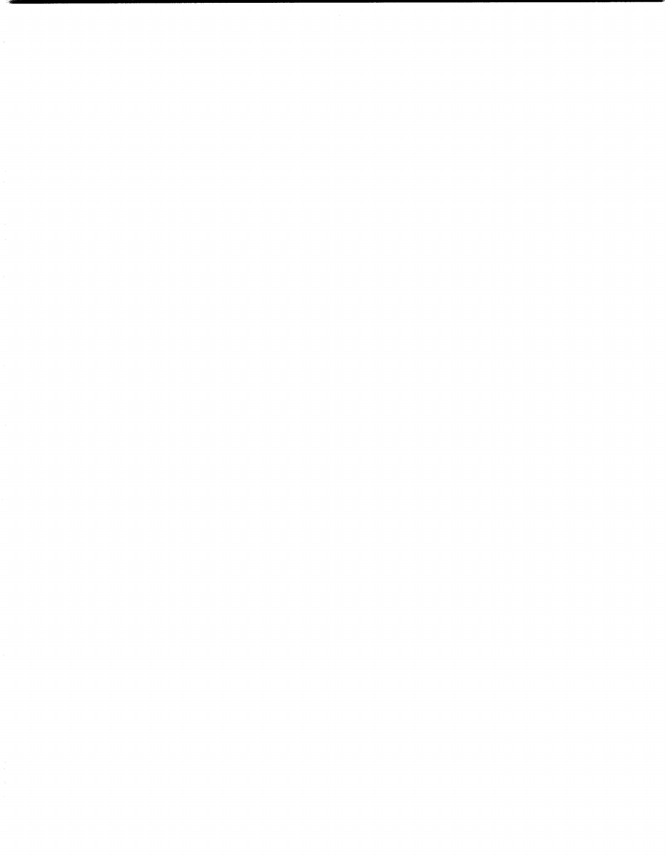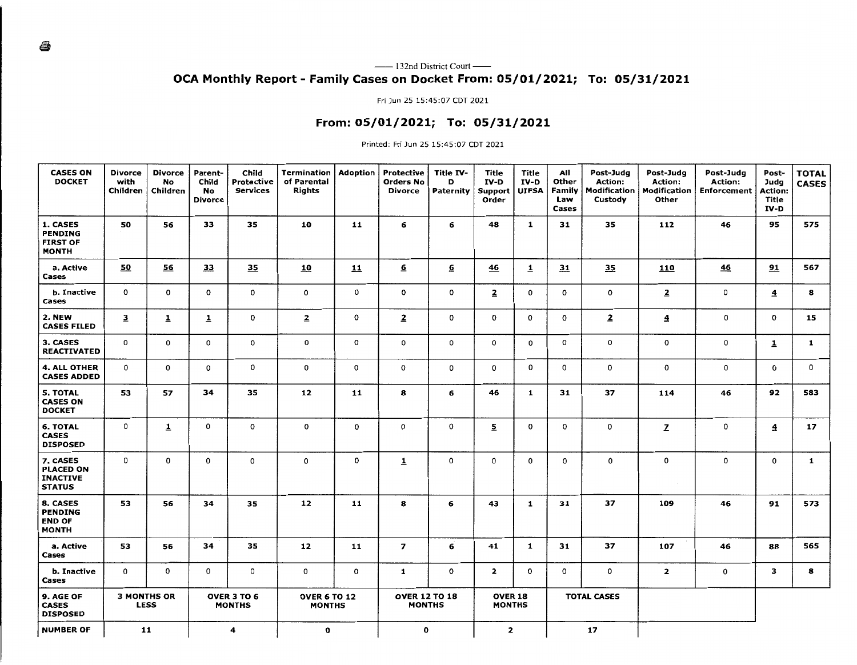### —— 132nd District Court -**OCA Monthly Report** - **Family Cases on Docket From: 05/01/2021; To: 05/31/2021**

Fri Jun 25 15:45:07 CDT 2021

## **From: 05/01/2021; To: 05/31/2021**

Printed: Fri Jun 25 15:45:07 CDT 2021

| <b>CASES ON</b><br><b>DOCKET</b>                                 | <b>Divorce</b><br>with<br>Children | <b>Divorce</b><br><b>No</b><br>Children | Parent-<br>Child<br>No<br><b>Divorce</b> | Child<br>Protective<br><b>Services</b> | Termination<br>of Parental<br><b>Rights</b> | Adoption | <b>Protective</b><br><b>Orders No</b><br><b>Divorce</b> | Title IV-<br>D<br>Paternity | Title<br>IV-D<br>Support<br>Order | Title<br>IV-D<br><b>UIFSA</b> | All<br>Other<br>Family<br>Law<br>Cases | Post-Judg<br><b>Action:</b><br>Modification<br>Custody | Post-Judg<br>Action:<br>Modification<br>Other | Post-Judg<br>Action:<br>Enforcement | Post-<br>Judg<br>Action:<br>Title<br>IV-D | <b>TOTAL</b><br><b>CASES</b> |
|------------------------------------------------------------------|------------------------------------|-----------------------------------------|------------------------------------------|----------------------------------------|---------------------------------------------|----------|---------------------------------------------------------|-----------------------------|-----------------------------------|-------------------------------|----------------------------------------|--------------------------------------------------------|-----------------------------------------------|-------------------------------------|-------------------------------------------|------------------------------|
| 1. CASES<br><b>PENDING</b><br><b>FIRST OF</b><br><b>MONTH</b>    | 50                                 | 56                                      | 33                                       | 35                                     | 10                                          | 11       | 6                                                       | 6                           | 48                                | $\mathbf{1}$                  | 31                                     | 35                                                     | 112                                           | 46                                  | 95                                        | 575                          |
| a. Active<br>Cases                                               | 50                                 | 56                                      | 33                                       | 35                                     | 10                                          | 11       | $\underline{6}$                                         | <u>6</u>                    | 46                                | $\overline{1}$                | 31                                     | 35                                                     | 110                                           | <u>46</u>                           | 91                                        | 567                          |
| b. Inactive<br>Cases                                             | 0                                  | 0                                       | 0                                        | 0                                      | 0                                           | 0        | 0                                                       | 0                           | $\overline{a}$                    | 0                             | 0                                      | 0                                                      | $\overline{2}$                                | 0                                   | 4                                         | 8                            |
| 2. NEW<br><b>CASES FILED</b>                                     | $\mathbf{3}$                       | $\mathbf{1}$                            | $\overline{\mathbf{1}}$                  | $\mathbf 0$                            | $\overline{2}$                              | 0        | $\overline{2}$                                          | 0                           | 0                                 | 0                             | 0                                      | $\overline{2}$                                         | $\overline{\mathbf{4}}$                       | 0                                   | $\mathbf 0$                               | 15                           |
| 3. CASES<br><b>REACTIVATED</b>                                   | 0                                  | 0                                       | 0                                        | 0                                      | 0                                           | 0        | 0                                                       | 0                           | 0                                 | 0                             | 0                                      | 0                                                      | 0                                             | 0                                   | 1                                         | $\mathbf{1}$                 |
| <b>4. ALL OTHER</b><br><b>CASES ADDED</b>                        | 0                                  | $\mathbf{o}$                            | 0                                        | 0                                      | 0                                           | 0        | 0                                                       | 0                           | 0                                 | 0                             | 0                                      | 0                                                      | 0                                             | 0                                   | 0                                         | 0                            |
| 5. TOTAL<br><b>CASES ON</b><br><b>DOCKET</b>                     | 53                                 | 57                                      | 34                                       | 35                                     | 12                                          | 11       | 8                                                       | 6                           | 46                                | $\mathbf{1}$                  | 31                                     | 37                                                     | 114                                           | 46                                  | 92                                        | 583                          |
| <b>6. TOTAL</b><br><b>CASES</b><br><b>DISPOSED</b>               | 0                                  | $\mathbf{1}$                            | 0                                        | 0                                      | $\mathbf{o}$                                | 0        | 0                                                       | 0                           | $\overline{2}$                    | o                             | 0                                      | 0                                                      | $\mathbf{Z}$                                  | 0                                   | 4                                         | 17                           |
| 7. CASES<br><b>PLACED ON</b><br><b>INACTIVE</b><br><b>STATUS</b> | 0                                  | 0                                       | 0                                        | 0                                      | 0                                           | 0        | 1                                                       | 0                           | 0                                 | 0                             | 0                                      | 0                                                      | 0                                             | 0                                   | 0                                         | $\mathbf{1}$                 |
| 8. CASES<br><b>PENDING</b><br><b>END OF</b><br><b>MONTH</b>      | 53                                 | 56                                      | 34                                       | 35                                     | 12                                          | 11       | 8                                                       | 6                           | 43                                | 1                             | 31                                     | 37                                                     | 109                                           | 46                                  | 91                                        | 573                          |
| a. Active<br>Cases                                               | 53                                 | 56                                      | 34                                       | 35                                     | 12                                          | 11       | $\overline{\mathbf{z}}$                                 | 6                           | 41                                | 1                             | 31                                     | 37                                                     | 107                                           | 46                                  | 88                                        | 565                          |
| b. Inactive<br>Cases                                             | 0                                  | $\mathbf 0$                             | 0                                        | 0                                      | 0                                           | 0        | $\mathbf{1}$                                            | 0                           | $\overline{2}$                    | 0                             | 0                                      | 0                                                      | $\mathbf{2}$                                  | 0                                   | з                                         | 8                            |
| 9. AGE OF<br><b>CASES</b><br><b>DISPOSED</b>                     |                                    | <b>3 MONTHS OR</b><br><b>LESS</b>       |                                          | <b>OVER 3 TO 6</b><br><b>MONTHS</b>    | <b>OVER 6 TO 12</b><br><b>MONTHS</b>        |          | <b>OVER 12 TO 18</b><br><b>MONTHS</b>                   |                             | OVER 18<br><b>MONTHS</b>          |                               |                                        | <b>TOTAL CASES</b>                                     |                                               |                                     |                                           |                              |
| <b>NUMBER OF</b>                                                 |                                    | 11                                      |                                          | 4                                      | 0                                           |          | $\mathbf{o}$                                            |                             | $\mathbf{2}$                      |                               |                                        | 17                                                     |                                               |                                     |                                           |                              |

4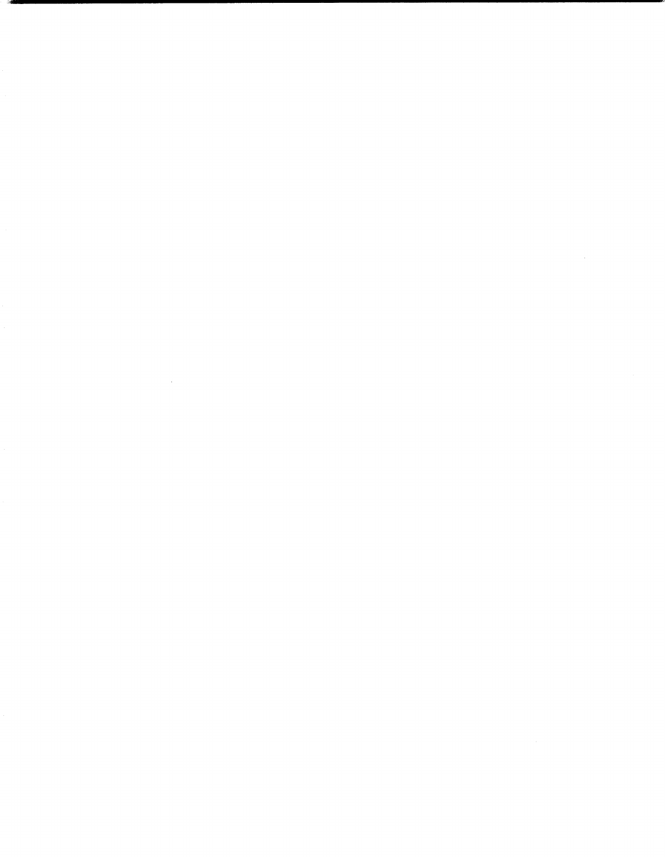$\label{eq:2.1} \frac{1}{\sqrt{2}}\int_{\mathbb{R}^3}\frac{1}{\sqrt{2}}\left(\frac{1}{\sqrt{2}}\right)^2\frac{1}{\sqrt{2}}\left(\frac{1}{\sqrt{2}}\right)^2\frac{1}{\sqrt{2}}\left(\frac{1}{\sqrt{2}}\right)^2\frac{1}{\sqrt{2}}\left(\frac{1}{\sqrt{2}}\right)^2.$  $\label{eq:2.1} \frac{1}{\sqrt{2}}\left(\frac{1}{\sqrt{2}}\right)^{2} \left(\frac{1}{\sqrt{2}}\right)^{2} \left(\frac{1}{\sqrt{2}}\right)^{2} \left(\frac{1}{\sqrt{2}}\right)^{2} \left(\frac{1}{\sqrt{2}}\right)^{2} \left(\frac{1}{\sqrt{2}}\right)^{2} \left(\frac{1}{\sqrt{2}}\right)^{2} \left(\frac{1}{\sqrt{2}}\right)^{2} \left(\frac{1}{\sqrt{2}}\right)^{2} \left(\frac{1}{\sqrt{2}}\right)^{2} \left(\frac{1}{\sqrt{2}}\right)^{2} \left(\$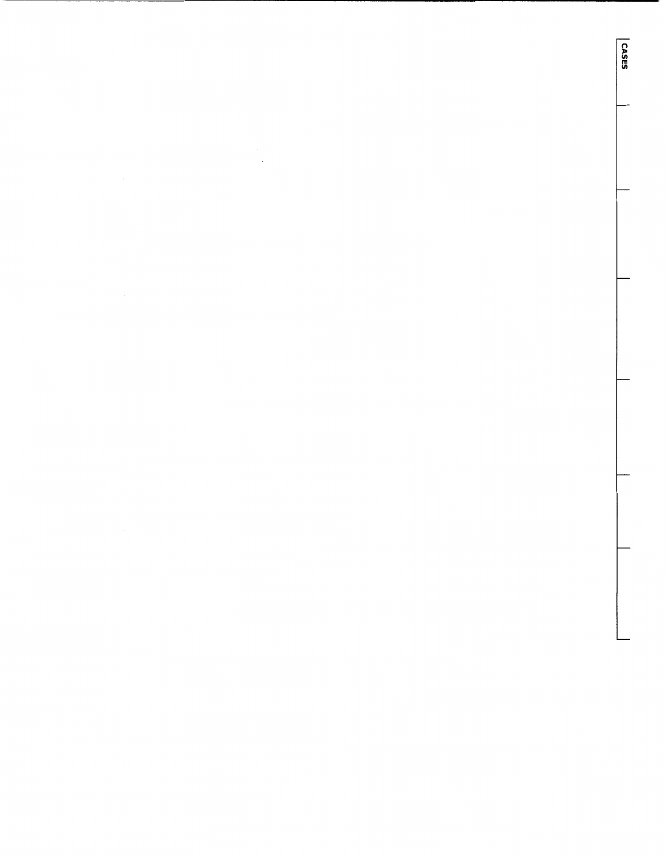CASES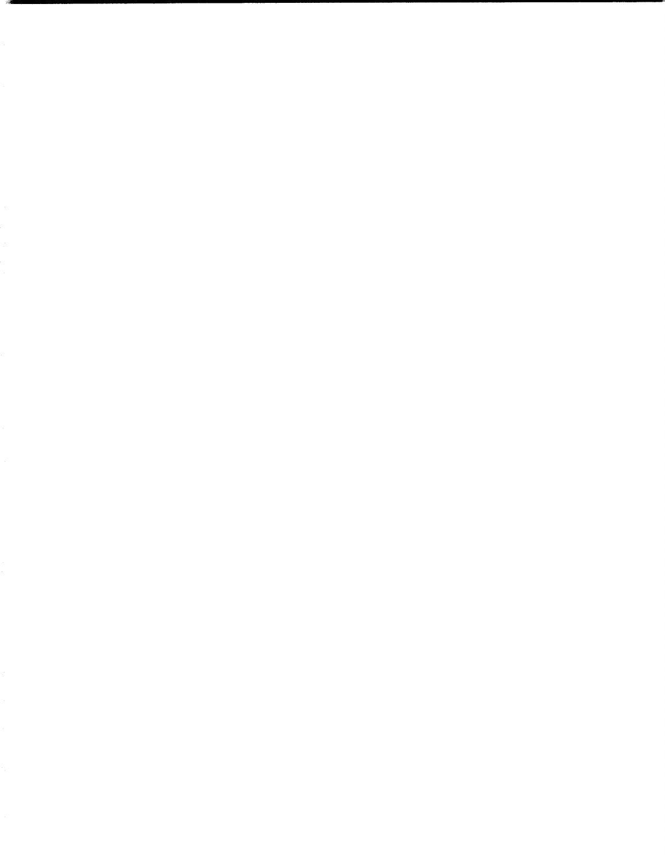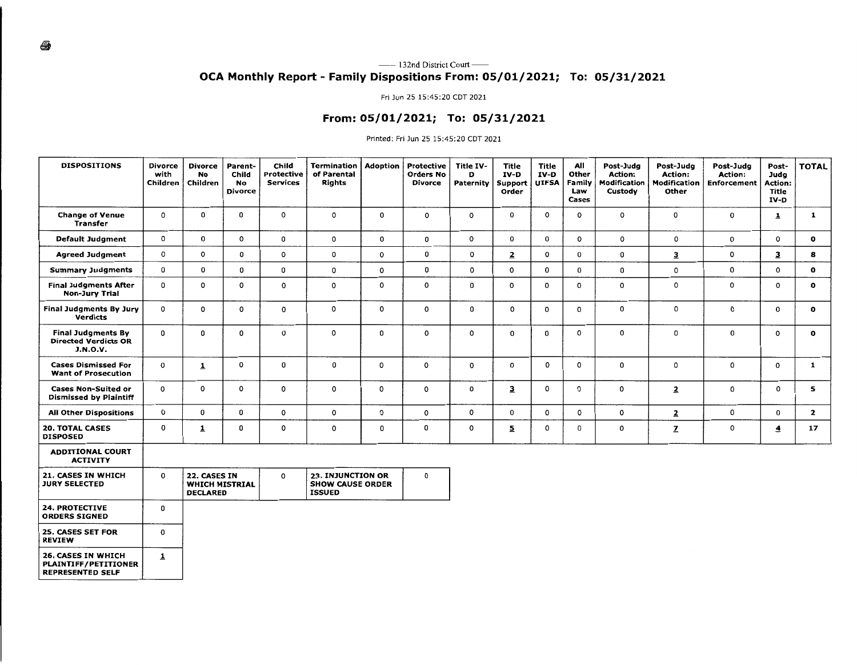#### —— 132nd District Court -

## **OCA Monthly Report - Family Dispositions From: 05/01/2021; To: 05/31/2021**

### Fri Jun 25 15:45:20 CDT 2021

## **From: 05/01/2021; To: 05/31/2021**

### Printed: Fri Jun 25 15:45:20 CDT 2021

| <b>DISPOSITIONS</b>                                                                 | <b>Divorce</b><br>with<br>Children | <b>Divorce</b><br><b>No</b><br>Children | Parent-<br>Child<br><b>No</b><br><b>Divorce</b> | Child<br>Protective<br><b>Services</b> | <b>Termination</b><br>of Parental<br>Rights                   | <b>Adoption</b> | Protective<br><b>Orders No</b><br><b>Divorce</b> | Title IV-<br>D<br>Paternity | <b>Title</b><br>IV-D<br>Support<br>Order | <b>Title</b><br>IV-D<br><b>UIFSA</b> | All<br>Other<br>Family<br>Law<br>Cases | Post-Judg<br><b>Action:</b><br>Modification<br>Custody | Post-Judg<br>Action:<br>Modification<br>Other | Post-Judg<br><b>Action:</b><br><b>Enforcement</b> | Post-<br>Judg<br><b>Action:</b><br>Title<br>$IV-D$ | <b>TOTAL</b>   |
|-------------------------------------------------------------------------------------|------------------------------------|-----------------------------------------|-------------------------------------------------|----------------------------------------|---------------------------------------------------------------|-----------------|--------------------------------------------------|-----------------------------|------------------------------------------|--------------------------------------|----------------------------------------|--------------------------------------------------------|-----------------------------------------------|---------------------------------------------------|----------------------------------------------------|----------------|
| <b>Change of Venue</b><br>Transfer                                                  | $\mathbf 0$                        | 0                                       | 0                                               | 0                                      | 0                                                             | 0               | 0                                                | 0                           | 0                                        | $\circ$                              | $\circ$                                | $\mathsf{o}$                                           | 0                                             | 0                                                 | $\overline{\mathbf{1}}$                            | 1              |
| <b>Default Judgment</b>                                                             | 0                                  | 0                                       | $\mathsf{o}\,$                                  | 0                                      | 0                                                             | 0               | 0                                                | 0                           | 0                                        | 0                                    | $\mathbf{O}$                           | 0                                                      | 0                                             | 0                                                 | 0                                                  | 0              |
| <b>Agreed Judgment</b>                                                              | 0                                  | 0                                       | 0                                               | 0                                      | 0                                                             | 0               | 0                                                | 0                           | $\overline{2}$                           | 0                                    | $\mathbf{0}$                           | 0                                                      | $\overline{\mathbf{3}}$                       | 0                                                 | $\overline{\mathbf{3}}$                            | 8              |
| <b>Summary Judgments</b>                                                            | 0                                  | 0                                       | 0                                               | 0                                      | 0                                                             | 0               | 0                                                | 0                           | 0                                        | $\mathbf 0$                          | $\bf{0}$                               | 0                                                      | 0                                             | 0                                                 | 0                                                  | 0              |
| <b>Final Judgments After</b><br><b>Non-Jury Trial</b>                               | 0                                  | 0                                       | $\mathbf 0$                                     | $\mathbf 0$                            | 0                                                             | 0               | 0                                                | 0                           | 0                                        | $\mathsf{o}\,$                       | $\mathbf 0$                            | 0                                                      | 0                                             | 0                                                 | 0                                                  | 0              |
| <b>Final Judgments By Jury</b><br><b>Verdicts</b>                                   | 0                                  | 0                                       | $\mathsf{o}$                                    | $\circ$                                | $\mathsf{o}\,$                                                | $\mathbf 0$     | 0                                                | 0                           | 0                                        | $\mathsf{o}$                         | $\mathbf 0$                            | 0                                                      | 0                                             | 0                                                 | 0                                                  | 0              |
| <b>Final Judgments By</b><br><b>Directed Verdicts OR</b><br><b>J.N.O.V.</b>         | 0                                  | 0                                       | 0                                               | $\mathbf 0$                            | $\mathsf{o}\,$                                                | 0               | 0                                                | 0                           | 0                                        | 0                                    | $\circ$                                | o                                                      | 0                                             | 0                                                 | $\Omega$                                           | $\mathbf{o}$   |
| <b>Cases Dismissed For</b><br><b>Want of Prosecution</b>                            | 0                                  | $\overline{\mathbf{1}}$                 | $\circ$                                         | 0                                      | 0                                                             | $\mathbf 0$     | 0                                                | 0                           | 0                                        | $\mathsf{o}$                         | 0                                      | 0                                                      | 0                                             | 0                                                 | 0                                                  | $\mathbf{1}$   |
| <b>Cases Non-Suited or</b><br><b>Dismissed by Plaintiff</b>                         | 0                                  | 0                                       | 0                                               | $\mathbf 0$                            | 0                                                             | $\mathbf 0$     | 0                                                | 0                           | 3                                        | $\mathsf{o}$                         | 0                                      | $\mathsf{o}$                                           | $\overline{2}$                                | 0                                                 | 0                                                  | 5              |
| <b>All Other Dispositions</b>                                                       | 0                                  | 0                                       | 0                                               | $\mathsf{o}$                           | 0                                                             | $\mathsf{o}\,$  | 0                                                | 0                           | 0                                        | 0                                    | $\circ$                                | 0                                                      | $\overline{2}$                                | 0                                                 | $\bf{0}$                                           | $\overline{2}$ |
| <b>20. TOTAL CASES</b><br><b>DISPOSED</b>                                           | 0                                  | $\overline{1}$                          | 0                                               | $\circ$                                | $\mathbf{o}$                                                  | 0               | 0                                                | 0                           | 5                                        | 0                                    | $\mathbf 0$                            | o                                                      | $\mathbf{Z}$                                  | 0                                                 | $\overline{4}$                                     | 17             |
| <b>ADDITIONAL COURT</b><br><b>ACTIVITY</b>                                          |                                    |                                         |                                                 |                                        |                                                               |                 |                                                  |                             |                                          |                                      |                                        |                                                        |                                               |                                                   |                                                    |                |
| 21. CASES IN WHICH<br><b>JURY SELECTED</b>                                          | 0                                  | 22. CASES IN<br><b>DECLARED</b>         | <b>WHICH MISTRIAL</b>                           | 0                                      | 23. INJUNCTION OR<br><b>SHOW CAUSE ORDER</b><br><b>ISSUED</b> |                 | 0                                                |                             |                                          |                                      |                                        |                                                        |                                               |                                                   |                                                    |                |
| <b>24. PROTECTIVE</b><br><b>ORDERS SIGNED</b>                                       | 0                                  |                                         |                                                 |                                        |                                                               |                 |                                                  |                             |                                          |                                      |                                        |                                                        |                                               |                                                   |                                                    |                |
| 25. CASES SET FOR<br><b>REVIEW</b>                                                  | $\mathbf 0$                        |                                         |                                                 |                                        |                                                               |                 |                                                  |                             |                                          |                                      |                                        |                                                        |                                               |                                                   |                                                    |                |
| <b>26. CASES IN WHICH</b><br><b>PLAINTIFF/PETITIONER</b><br><b>REPRESENTED SELF</b> | $\overline{\mathbf{1}}$            |                                         |                                                 |                                        |                                                               |                 |                                                  |                             |                                          |                                      |                                        |                                                        |                                               |                                                   |                                                    |                |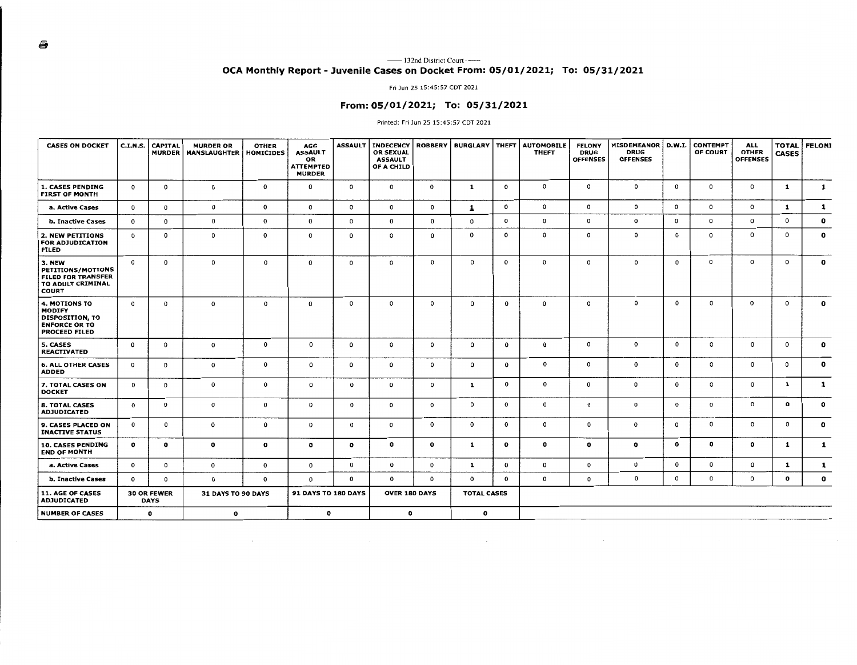### - 132nd District Court-**OCA Monthly Report** - **Juvenile Cases on Docket From: 05/01/2021; To: 05/31/2021**

### Fri Jun 25 15:45:57 CDT 2021

### **From: 05/01/2021; To: 05/31/2021**

#### Printed: Fri Jun 25 15:45:57 CDT 2021

| <b>CASES ON DOCKET</b>                                                                                   | C.I.N.S.     | CAPITAL<br><b>MURDER</b>   | <b>MURDER OR</b><br><b>MANSLAUGHTER</b> | <b>OTHER</b><br><b>HOMICIDES</b> | AGG<br><b>ASSAULT</b><br>OR<br><b>ATTEMPTED</b><br><b>MURDER</b> | <b>ASSAULT</b> | <b>INDECENCY</b><br>OR SEXUAL<br><b>ASSAULT</b><br>OF A CHILD | <b>ROBBERY</b> | <b>BURGLARY THEFT</b> |              | <b>AUTOMOBILE</b><br><b>THEFT</b> | <b>FELONY</b><br><b>DRUG</b><br><b>OFFENSES</b> | <b>MISDEMEANOR</b><br><b>DRUG</b><br><b>OFFENSES</b> | <b>D.W.I.</b> | <b>CONTEMPT</b><br>OF COURT | <b>ALL</b><br><b>OTHER</b><br><b>OFFENSES</b> | <b>TOTAL</b><br><b>CASES</b> | <b>FELONI</b> |
|----------------------------------------------------------------------------------------------------------|--------------|----------------------------|-----------------------------------------|----------------------------------|------------------------------------------------------------------|----------------|---------------------------------------------------------------|----------------|-----------------------|--------------|-----------------------------------|-------------------------------------------------|------------------------------------------------------|---------------|-----------------------------|-----------------------------------------------|------------------------------|---------------|
| <b>1. CASES PENDING</b><br><b>FIRST OF MONTH</b>                                                         | 0            | 0                          | 0                                       | $\mathbf 0$                      | 0                                                                | 0              | $\mathbf 0$                                                   | $\mathbf{o}$   | 1                     | $\mathbf 0$  | $\circ$                           | 0                                               | $^{\circ}$                                           | $\mathbf 0$   | $\mathbf 0$                 | $\mathbf 0$                                   | 1                            | 1             |
| a. Active Cases                                                                                          | 0            | $\mathbf 0$                | 0                                       | $\mathbf 0$                      | $\mathbf 0$                                                      | 0              | $\mathbf 0$                                                   | $\mathbf 0$    | $\mathbf{1}$          | 0            | $\mathbf 0$                       | 0                                               | 0                                                    | $\circ$       | $\mathbf{o}$                | $\mathbf{o}$                                  | 1                            | $\mathbf{1}$  |
| <b>b. Inactive Cases</b>                                                                                 | $\mathbf{o}$ | $\mathbf 0$                | 0                                       | $\mathbf 0$                      | 0                                                                | $^{\circ}$     | 0                                                             | $\mathbf{o}$   | $\circ$               | $\mathbf{o}$ | $\mathbf 0$                       | $^{\circ}$                                      | 0                                                    | $\mathbf 0$   | $\mathbf{o}$                | $\mathbf{o}$                                  | $\Omega$                     | $\mathbf{o}$  |
| 2. NEW PETITIONS<br><b>FOR ADJUDICATION</b><br><b>FILED</b>                                              | 0            | 0                          | 0                                       | $\mathbf 0$                      | $\mathbf{o}$                                                     | 0              | $^{\circ}$                                                    | $^{\circ}$     | $\mathbf{o}$          | 0            | $\mathsf{o}$                      | $^{\circ}$                                      | 0                                                    | $\mathbf 0$   | 0                           | 0                                             | 0                            | $\mathbf o$   |
| 3. NEW<br>PETITIONS/MOTIONS<br><b>FILED FOR TRANSFER</b><br>TO ADULT CRIMINAL<br><b>COURT</b>            | $\mathbf 0$  | $\mathbf 0$                | 0                                       | $\mathbf 0$                      | $\mathbf{o}$                                                     | $\mathbf 0$    | 0                                                             | $\mathbf 0$    | $\mathbf{0}$          | $\mathbf 0$  | $\mathbf 0$                       | $^{\circ}$                                      | 0                                                    | $^{\circ}$    | $\mathbf 0$                 | $\mathbf 0$                                   | 0                            | o             |
| 4. MOTIONS TO<br><b>MODIFY</b><br><b>DISPOSITION, TO</b><br><b>ENFORCE OR TO</b><br><b>PROCEED FILED</b> | $\mathbf 0$  | $\mathbf 0$                | 0                                       | $\mathbf 0$                      | 0                                                                | $\mathbf 0$    | 0                                                             | 0              | 0                     | 0            | $\mathbf 0$                       | 0                                               | $\mathbf 0$                                          | $^{\circ}$    | 0                           | $\mathbf{o}$                                  | 0                            | $\mathbf{o}$  |
| 5. CASES<br><b>REACTIVATED</b>                                                                           | $\mathbf{o}$ | 0                          | 0                                       | $^{\circ}$                       | o                                                                | 0              | 0                                                             | $^{\circ}$     | 0                     | 0            | $\mathbf 0$                       | 0                                               | 0                                                    | $^{\circ}$    | $^{\circ}$                  | $\mathbf 0$                                   | 0                            | $\mathbf{o}$  |
| <b>6. ALL OTHER CASES</b><br><b>ADDED</b>                                                                | 0            | $\circ$                    | 0                                       | $\mathbf 0$                      | 0                                                                | $^{\circ}$     | 0                                                             | 0              | 0                     | 0            | $\mathbf 0$                       | 0                                               | 0                                                    | $\mathbf 0$   | 0                           | $\mathbf 0$                                   | 0                            | $\mathbf{o}$  |
| 7. TOTAL CASES ON<br><b>DOCKET</b>                                                                       | $\mathbf 0$  | $\circ$                    | $\mathbf 0$                             | 0                                | 0                                                                | 0              | 0                                                             | $^{\circ}$     | 1                     | 0            | $\mathbf 0$                       | $\mathbf 0$                                     | $\mathsf{o}\,$                                       | $\mathbf 0$   | $^{\circ}$                  | $\mathbf 0$                                   | $\mathbf{1}$                 | $\mathbf{1}$  |
| <b>8. TOTAL CASES</b><br><b>ADJUDICATED</b>                                                              | $\mathbf{o}$ | $\mathbf{o}$               | $\mathbf 0$                             | $\mathbf 0$                      | $\mathbf 0$                                                      | $\mathbf{o}$   | $\mathbf{o}$                                                  | $\mathbf{o}$   | $\circ$               | $\mathbf 0$  | $\mathbf 0$                       | $\mathbf 0$                                     | $\mathbf 0$                                          | $\mathbf 0$   | $\mathbf{o}$                | 0                                             | ۰                            | $\mathbf{o}$  |
| <b>9. CASES PLACED ON</b><br><b>INACTIVE STATUS</b>                                                      | 0            | 0                          | 0                                       | 0                                | $\mathbf{o}$                                                     | 0              | $\mathbf 0$                                                   | $\mathbf{o}$   | $^{\circ}$            | 0            | $^{\circ}$                        | $\mathbf{0}$                                    | 0                                                    | $\circ$       | $\mathbf{o}$                | $\mathbf{o}$                                  | 0                            | $\mathbf{o}$  |
| <b>10. CASES PENDING</b><br><b>END OF MONTH</b>                                                          | $\mathbf{o}$ | $\mathbf{o}$               | o                                       | $\mathbf{o}$                     | $\mathbf{o}$                                                     | $\mathbf{o}$   | $\mathbf{o}$                                                  | $\mathbf{o}$   | $\mathbf{1}$          | $\mathbf{o}$ | $\mathbf{o}$                      | $\mathbf{o}$                                    | $\mathbf{o}$                                         | $\bf{o}$      | $\mathbf{o}$                | $\mathbf{o}$                                  | 1                            | $\mathbf{1}$  |
| a. Active Cases                                                                                          | 0            | $^{\circ}$                 | 0                                       | $\mathbf 0$                      | 0                                                                | 0              | $\mathbf 0$                                                   | $\mathsf{o}\,$ | 1                     | 0            | 0                                 | 0                                               | 0                                                    | $^{\circ}$    | o                           | $\mathbf 0$                                   | 1                            | 1             |
| <b>b. Inactive Cases</b>                                                                                 | 0            | 0                          | $\mathbf 0$                             | $\mathbf 0$                      | $\mathbf 0$                                                      | $\mathbf 0$    | 0                                                             | $\circ$        | $\mathbf 0$           | 0            | 0                                 | $\circ$                                         | 0                                                    | $^{\circ}$    | $\mathbf 0$                 | 0                                             | $\mathbf{o}$                 | o             |
| <b>11. AGE OF CASES</b><br><b>ADJUDICATED</b>                                                            |              | 30 OR FEWER<br><b>DAYS</b> | 31 DAYS TO 90 DAYS                      |                                  | <b>91 DAYS TO 180 DAYS</b>                                       |                | <b>OVER 180 DAYS</b>                                          |                | <b>TOTAL CASES</b>    |              |                                   |                                                 |                                                      |               |                             |                                               |                              |               |
| <b>NUMBER OF CASES</b>                                                                                   |              | $\mathbf{o}$               | $\mathbf{o}$                            |                                  | $\mathbf{o}$                                                     |                | $\mathbf o$                                                   |                | $\mathbf{o}$          |              |                                   |                                                 |                                                      |               |                             |                                               |                              |               |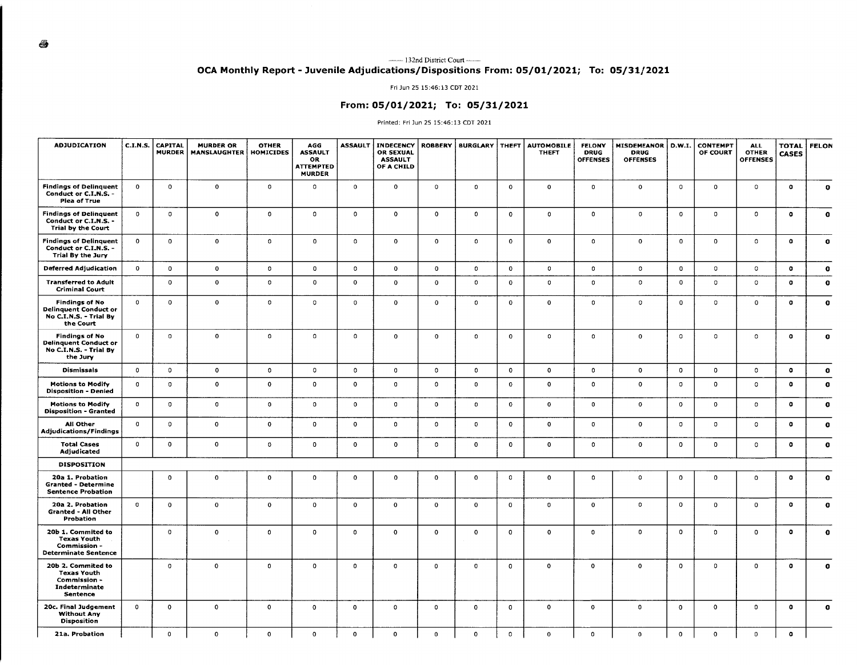### -------- 132nd District Court ------**OCA Monthly Report - Juvenile Adjudications/Dispositions From: 05/01/2021; To: 05/31/2021**

### Fri Jun 25 15:46: 13 CDT 2021

### **From: 05/01/2021; To: 05/31/2021**

#### Printed: Fri Jun 25 15:46:13 CDT 2021

| ADJUDICATION                                                                                 | <b>C.I.N.S.</b> | <b>CAPITAL</b><br><b>MURDER</b> | <b>MURDER OR</b><br><b>MANSLAUGHTER</b> | <b>OTHER</b><br><b>HOMICIDES</b> | AGG<br><b>ASSAULT</b><br>OR<br><b>ATTEMPTED</b><br><b>MURDER</b> | <b>ASSAULT</b> | <b>INDECENCY</b><br><b>OR SEXUAL</b><br><b>ASSAULT</b><br>OF A CHILD | <b>ROBBERY</b> | <b>BURGLARY</b> | <b>THEFT</b> | <b>AUTOMOBILE</b><br><b>THEFT</b> | FELONY<br><b>DRUG</b><br><b>OFFENSES</b> | <b>MISDEMEANOR</b><br><b>DRUG</b><br><b>OFFENSES</b> | D.W.I.       | <b>CONTEMPT</b><br>OF COURT | <b>ALL</b><br><b>OTHER</b><br><b>OFFENSES</b> | <b>TOTAL</b><br><b>CASES</b> | <b>FELON</b> |
|----------------------------------------------------------------------------------------------|-----------------|---------------------------------|-----------------------------------------|----------------------------------|------------------------------------------------------------------|----------------|----------------------------------------------------------------------|----------------|-----------------|--------------|-----------------------------------|------------------------------------------|------------------------------------------------------|--------------|-----------------------------|-----------------------------------------------|------------------------------|--------------|
| <b>Findings of Delinquent</b><br>Conduct or C.I.N.S. -<br>Plea of True                       | $\mathbf{o}$    | $\mathbf 0$                     | $\mathbf 0$                             | $\mathbf 0$                      | 0                                                                | $\circ$        | $\mathbf 0$                                                          | $\mathbf 0$    | $\mathbf 0$     | $\mathbf 0$  | 0                                 | $\mathbf 0$                              | 0                                                    | $\circ$      | $\mathbf 0$                 | $\mathbf 0$                                   | $\bullet$                    | $\mathbf{o}$ |
| <b>Findings of Delinquent</b><br>Conduct or C.I.N.S. -<br>Trial by the Court                 | $\circ$         | $\mathbf 0$                     | $\mathbf 0$                             | $\mathbf 0$                      | $\mathbf 0$                                                      | $\mathbf 0$    | $\mathbf 0$                                                          | $\mathbf 0$    | $\circ$         | $\mathbf 0$  | $\mathbf 0$                       | $\mathbf 0$                              | $\mathbf 0$                                          | $\mathbf 0$  | $\mathbf 0$                 | $\mathbf 0$                                   | $\bullet$                    | $\mathbf 0$  |
| <b>Findings of Delinquent</b><br>Conduct or C.I.N.S. -<br>Trial By the Jury                  | $\mathbf{0}$    | $\mathbf 0$                     | $\mathbf{0}$                            | $\mathbf 0$                      | $\mathbf 0$                                                      | $\circ$        | $\mathbf 0$                                                          | $\mathbf 0$    | $\circ$         | $\mathbf 0$  | 0                                 | $\pmb{0}$                                | 0                                                    | $\mathbf{0}$ | $\mathbf 0$                 | $\mathbf{0}$                                  | $\bullet$                    | $\mathbf{o}$ |
| <b>Deferred Adjudication</b>                                                                 | $\mathbf{o}$    | $\mathbf 0$                     | $\mathbf 0$                             | $\mathbf 0$                      | $\mathbf 0$                                                      | $\mathbf 0$    | $\mathbf 0$                                                          | $\mathbf 0$    | $\circ$         | $\mathbf{o}$ | 0                                 | $\mathbf 0$                              | $\mathbf 0$                                          | $\mathbf 0$  | $\circ$                     | $\mathbf 0$                                   | $\bullet$                    | $\mathbf{o}$ |
| <b>Transferred to Adult</b><br><b>Criminal Court</b>                                         |                 | $\mathbf 0$                     | $\mathbf 0$                             | $\mathbf 0$                      | 0                                                                | $\mathbf{0}$   | $\mathbf 0$                                                          | $\mathbf 0$    | $\pmb{0}$       | $\mathbf 0$  | 0                                 | $\mathbf 0$                              | 0                                                    | $\mathbf{0}$ | $\mathbf 0$                 | $\mathbf 0$                                   | $\bullet$                    | $\bullet$    |
| <b>Findings of No</b><br><b>Delinquent Conduct or</b><br>No C.I.N.S. - Trial By<br>the Court | $\circ$         | $\mathbf 0$                     | $\mathbf{o}$                            | $\mathbf 0$                      | $\circ$                                                          | $\mathbf 0$    | $\mathbf 0$                                                          | $\mathbf 0$    | $\circ$         | $\mathbf 0$  | 0                                 | 0                                        | $\mathbf 0$                                          | $\mathbf 0$  | $\circ$                     | $\mathbf 0$                                   | $\bullet$                    | $\bullet$    |
| <b>Findings of No</b><br><b>Delinquent Conduct or</b><br>No C.I.N.S. - Trial By<br>the Jury  | $^{\circ}$      | $\mathbf 0$                     | $\mathbf 0$                             | $\mathbf{0}$                     | $\mathbf 0$                                                      | $\circ$        | $\mathbf 0$                                                          | $\mathbf 0$    | $\circ$         | $\mathbf{o}$ | $\mathbf 0$                       | $\mathbf 0$                              | $\mathbf 0$                                          | $\circ$      | $\mathbf 0$                 | $\mathbf 0$                                   | $\bullet$                    | $\mathbf{o}$ |
| <b>Dismissals</b>                                                                            | $\circ$         | $\mathbf 0$                     | $\mathbf 0$                             | $\mathbf 0$                      | $\mathbf 0$                                                      | $\circ$        | $\,$ 0 $\,$                                                          | $\circ$        | $\mathbf 0$     | $\mathbf 0$  | 0                                 | $\mathbf 0$                              | $\mathbf 0$                                          | $\mathbf 0$  | $\mathbf 0$                 | $\mathbf{0}$                                  | $\bullet$                    | $\mathbf{o}$ |
| <b>Motions to Modify</b><br><b>Disposition - Denied</b>                                      | $^{\circ}$      | $\mathbf 0$                     | $\mathbf 0$                             | $\mathbf 0$                      | $\mathbf{0}$                                                     | $\mathbf 0$    | $\mathbf 0$                                                          | $\mathbf 0$    | $\mathbf{0}$    | $\mathbf{o}$ | 0                                 | $\mathbf 0$                              | 0                                                    | $\circ$      | $\mathbf 0$                 | $\mathbf 0$                                   | $\bullet$                    | $\mathbf{o}$ |
| <b>Motions to Modify</b><br><b>Disposition - Granted</b>                                     | $\circ$         | $\circ$                         | $\circ$                                 | $\mathbf 0$                      | $\mathbf 0$                                                      | $\circ$        | $\circ$                                                              | $\mathbf{0}$   | $\circ$         | $\mathbf{o}$ | 0                                 | $\mathbf 0$                              | $\mathbf 0$                                          | $\mathbf{o}$ | $\mathbf 0$                 | $\mathbf 0$                                   | $\bullet$                    | $\mathbf{o}$ |
| <b>All Other</b><br><b>Adjudications/Findings</b>                                            | $^{\circ}$      | $\mathbf 0$                     | $\mathbf{0}$                            | $\mathbf 0$                      | $\mathbf 0$                                                      | $\mathbf{o}$   | $\mathbf 0$                                                          | $\mathbf{0}$   | $\mathbf{O}$    | $\mathbf{o}$ | $\mathbf 0$                       | $\mathbf{0}$                             | $\mathbf 0$                                          | $\mathbf{O}$ | $\mathbf 0$                 | $\mathbf{0}$                                  | $\bullet$                    | $\mathbf{o}$ |
| <b>Total Cases</b><br>Adjudicated                                                            | $\circ$         | $\mathbf 0$                     | $\mathbf 0$                             | $\mathbf 0$                      | $\mathbf 0$                                                      | $\mathbf 0$    | $\mathbf 0$                                                          | $\mathbf 0$    | $\circ$         | $\mathbf 0$  | 0                                 | $\mathbf 0$                              | 0                                                    | $\mathbf{o}$ | $\mathbf 0$                 | $\mathbf 0$                                   | $\circ$                      | $\mathbf{o}$ |
| <b>DISPOSITION</b>                                                                           |                 |                                 |                                         |                                  |                                                                  |                |                                                                      |                |                 |              |                                   |                                          |                                                      |              |                             |                                               |                              |              |
| 20a 1. Probation<br><b>Granted - Determine</b><br><b>Sentence Probation</b>                  |                 | $\mathbf 0$                     | $\mathbf 0$                             | $\mathbf{0}$                     | $\mathbf 0$                                                      | $\overline{0}$ | $\mathbf 0$                                                          | $\mathbf{o}$   | $\circ$         | $\circ$      | 0                                 | $\mathbf 0$                              | $\mathbf{o}$                                         | $\mathbf 0$  | $\mathbf 0$                 | 0                                             | $\bullet$                    | $\mathbf{Q}$ |
| 20a 2. Probation<br><b>Granted - All Other</b><br>Probation                                  | $\Omega$        | $\mathbf 0$                     | $\mathbf{0}$                            | $\mathbf{o}$                     | $\mathbf{0}$                                                     | $\mathbf{o}$   | $\mathbf{0}$                                                         | $\mathbf{o}$   | $\mathbf{0}$    | $\mathbf{o}$ | 0                                 | $\mathbf{o}$                             | $\mathbf 0$                                          | $\mathbf{0}$ | $\mathbf 0$                 | $\mathbf{0}$                                  | $\bullet$                    | $\mathbf{a}$ |
| 20b 1. Commited to<br><b>Texas Youth</b><br>Commission -<br><b>Determinate Sentence</b>      |                 | $\mathbf 0$                     | $\pmb{0}$                               | $\mathbf{0}$                     | $\mathbf 0$                                                      | $\mathbf 0$    | $\mathbf 0$                                                          | $\mathbf 0$    | $\mathbf 0$     | $\mathbf 0$  | 0                                 | $\mathbf 0$                              | 0                                                    | $\mathbf{0}$ | $\mathbf 0$                 | 0                                             | $\bullet$                    | $\mathbf o$  |
| 20b 2. Commited to<br><b>Texas Youth</b><br>Commission -<br>Indeterminate<br>Sentence        |                 | $\,0\,$                         | $\mathbf 0$                             | $\mathbf 0$                      | $\mathbf 0$                                                      | $\mathbf{0}$   | $\mathbf 0$                                                          | $\circ$        | $\overline{0}$  | $\mathbf 0$  | 0                                 | 0                                        | $\mathbf 0$                                          | $\mathbf{o}$ | $\circ$                     | $\mathbf 0$                                   | $\circ$                      | $\bullet$    |
| 20c. Final Judgement<br><b>Without Any</b><br>Disposition                                    | $\circ$         | $\mathbf 0$                     | $\mathbf 0$                             | $\mathbf{o}$                     | $\mathbf 0$                                                      | $\Omega$       | $\mathbf 0$                                                          | $\circ$        | $\mathbf{0}$    | $\mathbf{0}$ | $\circ$                           | $\mathbf{o}$                             | $\mathbf{0}$                                         | $\mathbf{0}$ | $\mathbf 0$                 | 0                                             | $\bullet$                    | $\mathbf{o}$ |
| 21a. Probation                                                                               |                 | $\circ$                         | $\mathbf{O}$                            | $\Omega$                         | $\mathbf{0}$                                                     | $\mathbf{0}$   | $\mathbf 0$                                                          | $\mathbf{o}$   | $\mathbf{0}$    | $\circ$      | 0                                 | $\mathbf 0$                              | $\mathbf{0}$                                         | $\mathbf{0}$ | $\Omega$                    | $\Omega$                                      | $\bullet$                    |              |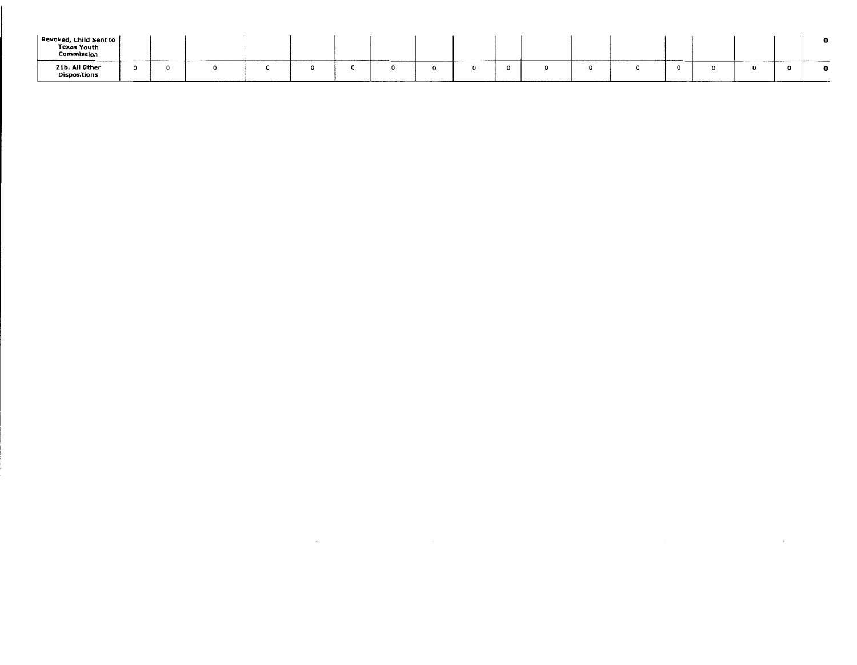| Revoked, Child Sent to<br><b>Texas Youth</b><br>Commission |  |  |  | ------- <del>--------------</del> | ----- |                      |  | ----------- |  |   |
|------------------------------------------------------------|--|--|--|-----------------------------------|-------|----------------------|--|-------------|--|---|
| 21b. All Other<br>Dispositions                             |  |  |  |                                   |       | ____________________ |  |             |  | л |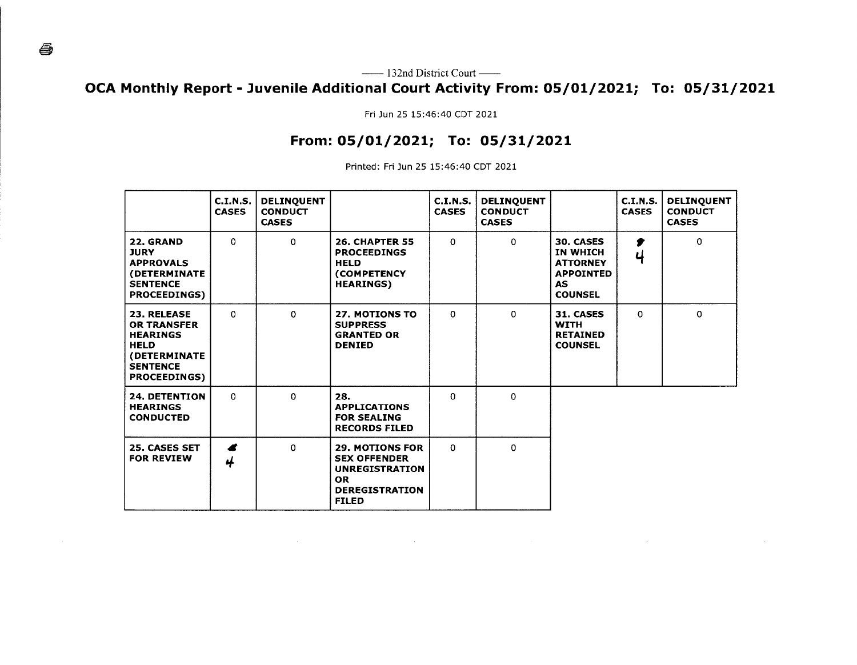- 132nd District Court-

**OCA Monthly Report - Juvenile Additional Court Activity From: 05/01/2021; To: 05/31/2021** 

Fri Jun 25 15:46:40 CDT 2021

# **From: 05/01/2021; To: 05/31/2021**

Printed: Fri Jun 25 15:46:40 CDT 2021

|                                                                                                                                             | C.I.N.S.<br><b>CASES</b> | <b>DELINQUENT</b><br><b>CONDUCT</b><br><b>CASES</b> |                                                                                                                       | C.I.N.S.<br><b>CASES</b> | <b>DELINQUENT</b><br><b>CONDUCT</b><br><b>CASES</b> |                                                                                       | C.I.N.S.<br><b>CASES</b> | <b>DELINQUENT</b><br><b>CONDUCT</b><br><b>CASES</b> |
|---------------------------------------------------------------------------------------------------------------------------------------------|--------------------------|-----------------------------------------------------|-----------------------------------------------------------------------------------------------------------------------|--------------------------|-----------------------------------------------------|---------------------------------------------------------------------------------------|--------------------------|-----------------------------------------------------|
| 22. GRAND<br><b>JURY</b><br><b>APPROVALS</b><br><b>(DETERMINATE)</b><br><b>SENTENCE</b><br><b>PROCEEDINGS)</b>                              | $\Omega$                 | $\Omega$                                            | <b>26. CHAPTER 55</b><br><b>PROCEEDINGS</b><br><b>HELD</b><br>(COMPETENCY<br><b>HEARINGS</b> )                        | 0                        | $\Omega$                                            | 30. CASES<br>IN WHICH<br><b>ATTORNEY</b><br><b>APPOINTED</b><br>AS.<br><b>COUNSEL</b> | 7<br>4                   | $\Omega$                                            |
| <b>23. RELEASE</b><br><b>OR TRANSFER</b><br><b>HEARINGS</b><br><b>HELD</b><br><i>(DETERMINATE</i><br><b>SENTENCE</b><br><b>PROCEEDINGS)</b> | $\Omega$                 | $\Omega$                                            | <b>27. MOTIONS TO</b><br><b>SUPPRESS</b><br><b>GRANTED OR</b><br><b>DENIED</b>                                        | 0                        | $\Omega$                                            | 31. CASES<br><b>WITH</b><br><b>RETAINED</b><br><b>COUNSEL</b>                         | $\Omega$                 | 0                                                   |
| <b>24. DETENTION</b><br><b>HEARINGS</b><br><b>CONDUCTED</b>                                                                                 | $\Omega$                 | $\Omega$                                            | 28.<br><b>APPLICATIONS</b><br><b>FOR SEALING</b><br><b>RECORDS FILED</b>                                              | 0                        | $\Omega$                                            |                                                                                       |                          |                                                     |
| <b>25. CASES SET</b><br><b>FOR REVIEW</b>                                                                                                   | Æ<br>4                   | $\Omega$                                            | <b>29. MOTIONS FOR</b><br><b>SEX OFFENDER</b><br>UNREGISTRATION<br><b>OR</b><br><b>DEREGISTRATION</b><br><b>FILED</b> | 0                        | $\Omega$                                            |                                                                                       |                          |                                                     |

 $\sim 10^{11}$  km s  $^{-1}$ 

 $\sim 10^{-1}$ 

 $\mathcal{O}(\mathcal{O}(10^6) \log^2 n)$  . The contract of the contract of the contract of the contract of the contract of the contract of the contract of the contract of the contract of the contract of the contract of the contract of t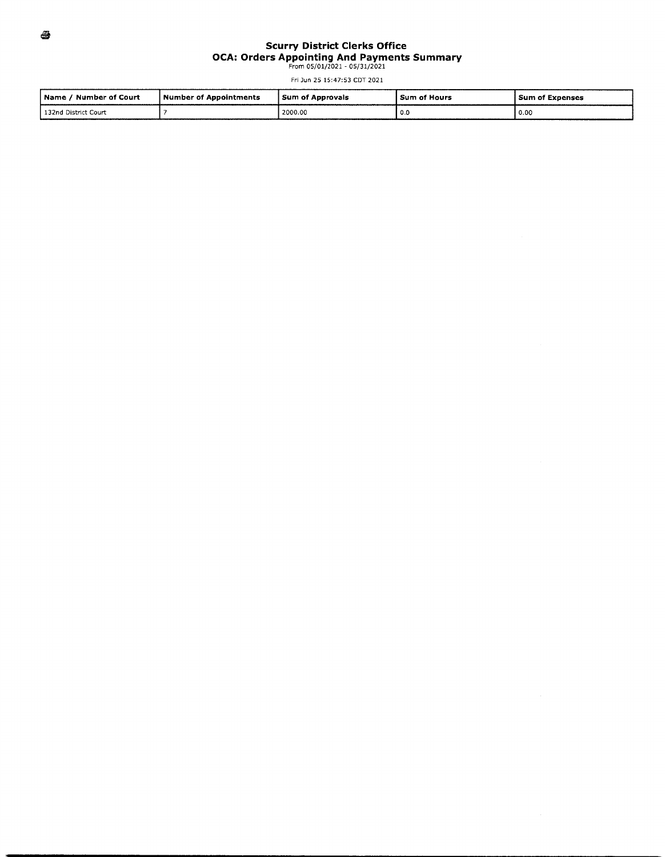## **Scurry District Clerks Office OCA: Orders Appointing And Payments Summary** From 05/01/2021 - 05/31/2021

Fri Jun 25 15:47:53 CDT 2021

| ' Number of Court<br>l Name | Number of Appointments |         | l Sum of Hours | <b>Sum of Expenses</b> |  |  |
|-----------------------------|------------------------|---------|----------------|------------------------|--|--|
| 1 132nd District Court      |                        | 2000.00 | 0.0            | l 0.00                 |  |  |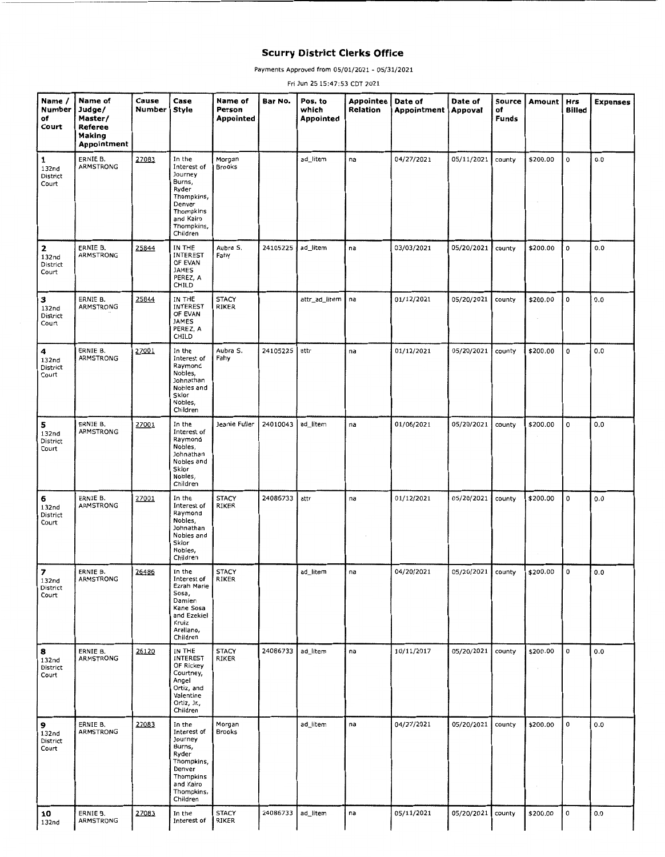## **Scurry District Clerks Office**

Payments Approved from 05/01/2021 • 05/31/2021

Fri Jun 25 15:47:53 CDT 2021

| Name /<br>Number<br>of<br>Court                                   | Name of<br>Judge/<br>Master/<br>Referee<br>Making<br>Appointment | Cause<br>Number | Case<br>Style                                                                                                                   | Name of<br>Person<br>Appointed | Bar No.  | Pos. to<br>which<br><b>Appointed</b> | Appointee<br>Relation | Date of<br>Appointment | Date of<br>Appoval | Source<br>of<br>Funds | Amount              | Hrs<br><b>Billed</b> | <b>Expenses</b> |
|-------------------------------------------------------------------|------------------------------------------------------------------|-----------------|---------------------------------------------------------------------------------------------------------------------------------|--------------------------------|----------|--------------------------------------|-----------------------|------------------------|--------------------|-----------------------|---------------------|----------------------|-----------------|
| 1<br>132 <sub>nd</sub><br>District<br>Court                       | ERNIE B.<br>ARMSTRONG                                            | 27083           | In the<br>Interest of<br>Journey<br>Burns,<br>Ryder<br>Thompkins,<br>Denver<br>Thompkins<br>and Kairo<br>Thompkins,<br>Children | Morgan<br><b>Brooks</b>        |          | ad_litem                             | na                    | 04/27/2021             | 05/11/2021         | county                | \$200.00            | 0                    | 0.0             |
| 2<br>132nd<br>District<br>Court                                   | ERNIE B.<br>ARMSTRONG                                            | 25844           | IN THE<br><b>INTEREST</b><br>OF EVAN<br><b>JAMES</b><br>PEREZ, A<br>CHILD                                                       | Aubra S.<br>Fahy               | 24105225 | ad_litem                             | na                    | 03/03/2021             | 05/20/2021         | county                | \$200.00            | 0                    | 0.0             |
| $\overline{\mathbf{3}}$<br>132nd<br>District<br>Court             | ERNIE B.<br>ARMSTRONG                                            | 25844           | IN THE<br>INTEREST<br>OF EVAN<br><b>JAMES</b><br>PEREZ, A<br>CHILD                                                              | <b>STACY</b><br>RIKER          |          | attr_ad_litem                        | na                    | 01/12/2021             | 05/20/2021         | county                | \$200.00            | $\mathbf 0$          | 0.0             |
| $\overline{\mathbf{4}}$<br>132 <sub>nd</sub><br>District<br>Court | ERNIE B.<br>ARMSTRONG                                            | 27001           | In the<br>Interest of<br>Raymond<br>Nobles,<br>Johnathan<br>Nobles and<br>Sklor<br>Nobles,<br>Children                          | Aubra S.<br>Fahy               | 24105225 | attr                                 | na                    | 01/12/2021             | 05/20/2021         | county                | \$200.00            | 0                    | 0.0             |
| 5<br>132nd<br>District<br>Court                                   | ERNIE B.<br>ARMSTRONG                                            | 27001           | In the<br>Interest of<br>Raymond<br>Nobles,<br>Johnathan<br>Nobles and<br>Sklor<br>Nobles,<br>Children                          | Jeanie Fuller                  | 24010043 | ad_litem                             | na                    | 01/06/2021             | 05/20/2021         | county                | \$200.00            | 0                    | 0,0             |
| 6<br>132nd<br>District<br>Court                                   | ERNIE B.<br>ARMSTRONG                                            | 27001           | In the<br>Interest of<br>Raymond<br>Nobles,<br>Johnathan<br>Nobles and<br>Sklor<br>Nobles,<br>Children                          | <b>STACY</b><br><b>RIKER</b>   | 24086733 | attr                                 | na                    | 01/12/2021             | 05/20/2021         | county                | \$200.00            | 0                    | 0.0             |
| $\sqrt{7}$<br>132 <sub>nd</sub><br>District<br>Court              | ERNIE B.<br>ARMSTRONG                                            | 26486           | In the<br>Interest of<br>Ezrah Marie<br>Sosa,<br>Damien<br>Kane Sosa<br>and Ezekiel<br>Kruiz<br>Arellano,<br>Children           | <b>STACY</b><br><b>RIKER</b>   |          | ad_litem                             | na                    | 04/20/2021             | 05/20/2021         | county                | \$200.00            | 0                    | 0.0             |
| 8<br>132nd<br>District<br>Court                                   | ERNIE B.<br>ARMSTRONG                                            | 26120           | IN THE<br><b>INTEREST</b><br>OF Rickey<br>Courtney,<br>Angel<br>Ortiz, and<br>Valentine<br>Ortiz, Jr.,<br>Children              | <b>STACY</b><br><b>RIKER</b>   | 24086733 | ad_litem                             | na                    | 10/11/2017             | 05/20/2021         | county                | \$200.00            | 0                    | 0.0             |
| 9<br>132nd<br>District<br>Court                                   | ERNIE B.<br><b>ARMSTRONG</b>                                     | 27083           | In the<br>Interest of<br>Journey<br>Burns,<br>Ryder<br>Thompkins,<br>Denver<br>Thompkins<br>and Kairo<br>Thompkins,<br>Children | Morgan<br><b>Brooks</b>        |          | ad_litem                             | na                    | 04/27/2021             | 05/20/2021         | county                | \$200.00<br>$\cdot$ | 0                    | 0.0             |
| 10<br>132nd                                                       | ERNIE B.<br>ARMSTRONG                                            | 27083           | In the<br>Interest of                                                                                                           | <b>STACY</b><br>RIKER          | 24086733 | ad_litem                             | na                    | 05/11/2021             | 05/20/2021         | county                | \$200.00            | 0                    | 0.0             |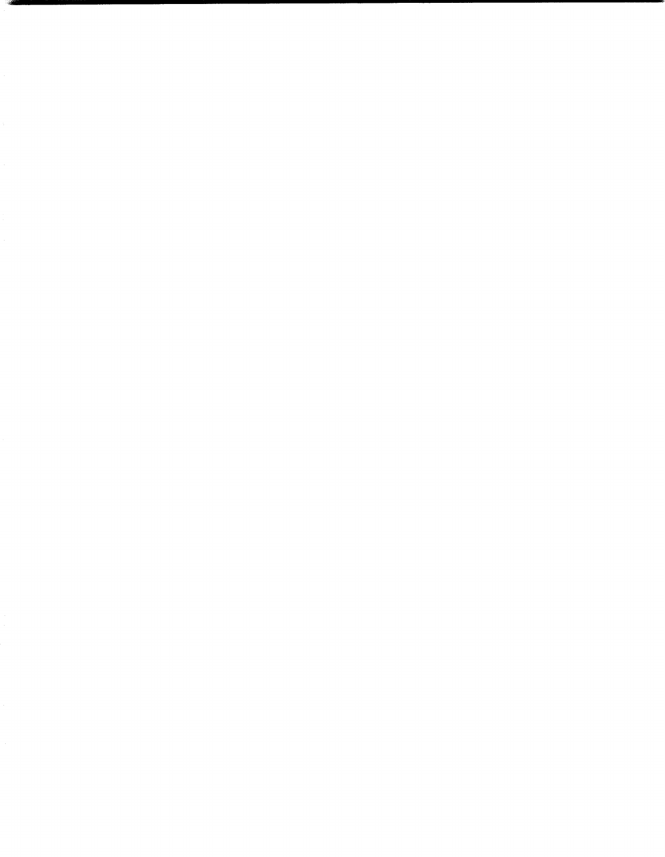